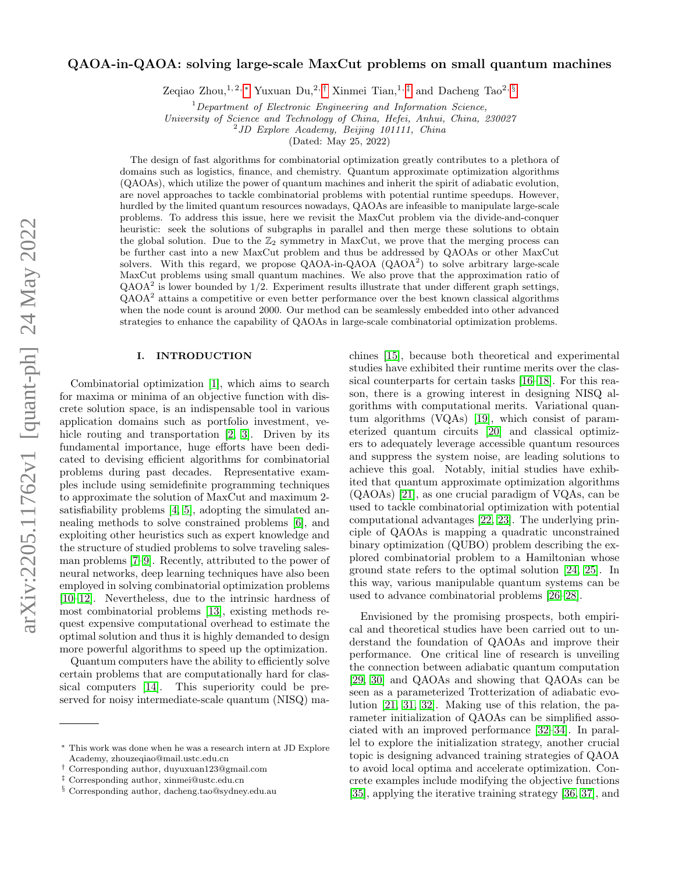# QAOA-in-QAOA: solving large-scale MaxCut problems on small quantum machines

Zeqiao Zhou,<sup>1, 2, \*</sup> Yuxuan Du,<sup>2, [†](#page-0-1)</sup> Xinmei Tian,<sup>1, [‡](#page-0-2)</sup> and Dacheng Tao<sup>2, [§](#page-0-3)</sup>

 $1$ Department of Electronic Engineering and Information Science,

University of Science and Technology of China, Hefei, Anhui, China, 230027

<sup>2</sup>JD Explore Academy, Beijing 101111, China

(Dated: May 25, 2022)

The design of fast algorithms for combinatorial optimization greatly contributes to a plethora of domains such as logistics, finance, and chemistry. Quantum approximate optimization algorithms (QAOAs), which utilize the power of quantum machines and inherit the spirit of adiabatic evolution, are novel approaches to tackle combinatorial problems with potential runtime speedups. However, hurdled by the limited quantum resources nowadays, QAOAs are infeasible to manipulate large-scale problems. To address this issue, here we revisit the MaxCut problem via the divide-and-conquer heuristic: seek the solutions of subgraphs in parallel and then merge these solutions to obtain the global solution. Due to the  $\mathbb{Z}_2$  symmetry in MaxCut, we prove that the merging process can be further cast into a new MaxCut problem and thus be addressed by QAOAs or other MaxCut solvers. With this regard, we propose  $QAOA-in-QAOA$   $(QAOA<sup>2</sup>)$  to solve arbitrary large-scale MaxCut problems using small quantum machines. We also prove that the approximation ratio of  $QAOA<sup>2</sup>$  is lower bounded by  $1/2$ . Experiment results illustrate that under different graph settings,  $QAOA<sup>2</sup>$  attains a competitive or even better performance over the best known classical algorithms when the node count is around 2000. Our method can be seamlessly embedded into other advanced strategies to enhance the capability of QAOAs in large-scale combinatorial optimization problems.

### I. INTRODUCTION

Combinatorial optimization [\[1\]](#page-6-0), which aims to search for maxima or minima of an objective function with discrete solution space, is an indispensable tool in various application domains such as portfolio investment, ve-hicle routing and transportation [\[2,](#page-6-1) [3\]](#page-6-2). Driven by its fundamental importance, huge efforts have been dedicated to devising efficient algorithms for combinatorial problems during past decades. Representative examples include using semidefinite programming techniques to approximate the solution of MaxCut and maximum 2 satisfiability problems [\[4,](#page-6-3) [5\]](#page-6-4), adopting the simulated annealing methods to solve constrained problems [\[6\]](#page-6-5), and exploiting other heuristics such as expert knowledge and the structure of studied problems to solve traveling salesman problems [\[7](#page-6-6)[–9\]](#page-6-7). Recently, attributed to the power of neural networks, deep learning techniques have also been employed in solving combinatorial optimization problems [\[10–](#page-6-8)[12\]](#page-6-9). Nevertheless, due to the intrinsic hardness of most combinatorial problems [\[13\]](#page-6-10), existing methods request expensive computational overhead to estimate the optimal solution and thus it is highly demanded to design more powerful algorithms to speed up the optimization.

Quantum computers have the ability to efficiently solve certain problems that are computationally hard for classical computers [\[14\]](#page-6-11). This superiority could be preserved for noisy intermediate-scale quantum (NISQ) ma-

chines [\[15\]](#page-6-12), because both theoretical and experimental studies have exhibited their runtime merits over the classical counterparts for certain tasks [\[16](#page-6-13)[–18\]](#page-6-14). For this reason, there is a growing interest in designing NISQ algorithms with computational merits. Variational quantum algorithms (VQAs) [\[19\]](#page-6-15), which consist of parameterized quantum circuits [\[20\]](#page-7-0) and classical optimizers to adequately leverage accessible quantum resources and suppress the system noise, are leading solutions to achieve this goal. Notably, initial studies have exhibited that quantum approximate optimization algorithms (QAOAs) [\[21\]](#page-7-1), as one crucial paradigm of VQAs, can be used to tackle combinatorial optimization with potential computational advantages [\[22,](#page-7-2) [23\]](#page-7-3). The underlying principle of QAOAs is mapping a quadratic unconstrained binary optimization (QUBO) problem describing the explored combinatorial problem to a Hamiltonian whose ground state refers to the optimal solution [\[24,](#page-7-4) [25\]](#page-7-5). In this way, various manipulable quantum systems can be used to advance combinatorial problems [\[26–](#page-7-6)[28\]](#page-7-7).

Envisioned by the promising prospects, both empirical and theoretical studies have been carried out to understand the foundation of QAOAs and improve their performance. One critical line of research is unveiling the connection between adiabatic quantum computation [\[29,](#page-7-8) [30\]](#page-7-9) and QAOAs and showing that QAOAs can be seen as a parameterized Trotterization of adiabatic evolution [\[21,](#page-7-1) [31,](#page-7-10) [32\]](#page-7-11). Making use of this relation, the parameter initialization of QAOAs can be simplified associated with an improved performance [\[32–](#page-7-11)[34\]](#page-7-12). In parallel to explore the initialization strategy, another crucial topic is designing advanced training strategies of QAOA to avoid local optima and accelerate optimization. Concrete examples include modifying the objective functions [\[35\]](#page-7-13), applying the iterative training strategy [\[36,](#page-7-14) [37\]](#page-7-15), and

<span id="page-0-0"></span><sup>∗</sup> This work was done when he was a research intern at JD Explore Academy, zhouzeqiao@mail.ustc.edu.cn

<span id="page-0-1"></span><sup>†</sup> Corresponding author, duyuxuan123@gmail.com

<span id="page-0-2"></span><sup>‡</sup> Corresponding author, xinmei@ustc.edu.cn

<span id="page-0-3"></span><sup>§</sup> Corresponding author, dacheng.tao@sydney.edu.au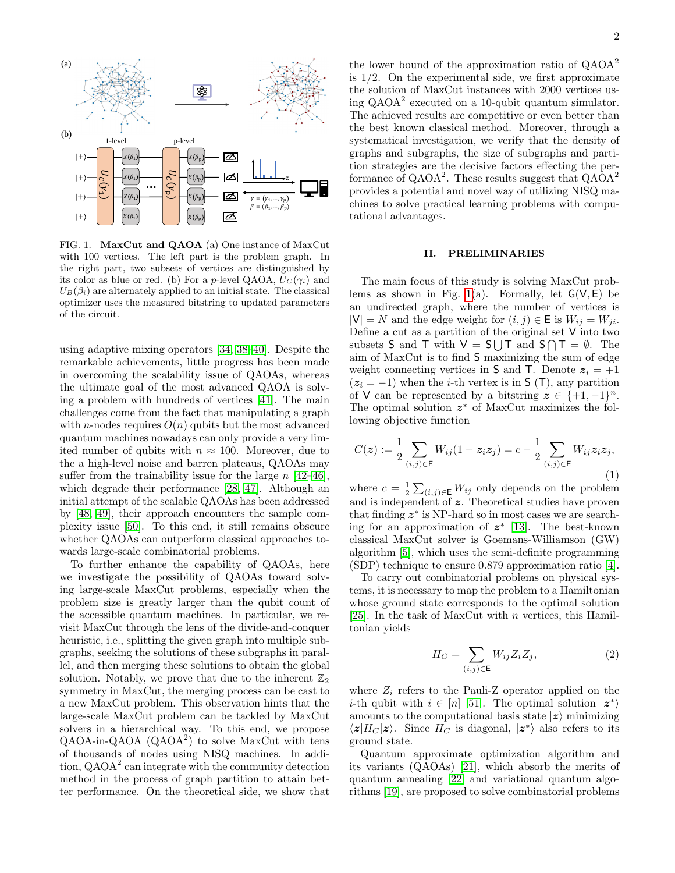

<span id="page-1-0"></span>FIG. 1. MaxCut and QAOA (a) One instance of MaxCut with 100 vertices. The left part is the problem graph. In the right part, two subsets of vertices are distinguished by its color as blue or red. (b) For a p-level QAOA,  $U_C(\gamma_i)$  and  $U_B(\beta_i)$  are alternately applied to an initial state. The classical optimizer uses the measured bitstring to updated parameters of the circuit.

using adaptive mixing operators [\[34,](#page-7-12) [38–](#page-7-16)[40\]](#page-7-17). Despite the remarkable achievements, little progress has been made in overcoming the scalability issue of QAOAs, whereas the ultimate goal of the most advanced QAOA is solving a problem with hundreds of vertices [\[41\]](#page-7-18). The main challenges come from the fact that manipulating a graph with *n*-nodes requires  $O(n)$  qubits but the most advanced quantum machines nowadays can only provide a very limited number of qubits with  $n \approx 100$ . Moreover, due to the a high-level noise and barren plateaus, QAOAs may suffer from the trainability issue for the large  $n \ [42-46]$  $n \ [42-46]$ , which degrade their performance [\[28,](#page-7-7) [47\]](#page-8-2). Although an initial attempt of the scalable QAOAs has been addressed by [\[48,](#page-8-3) [49\]](#page-8-4), their approach encounters the sample complexity issue [\[50\]](#page-8-5). To this end, it still remains obscure whether QAOAs can outperform classical approaches towards large-scale combinatorial problems.

To further enhance the capability of QAOAs, here we investigate the possibility of QAOAs toward solving large-scale MaxCut problems, especially when the problem size is greatly larger than the qubit count of the accessible quantum machines. In particular, we revisit MaxCut through the lens of the divide-and-conquer heuristic, i.e., splitting the given graph into multiple subgraphs, seeking the solutions of these subgraphs in parallel, and then merging these solutions to obtain the global solution. Notably, we prove that due to the inherent  $\mathbb{Z}_2$ symmetry in MaxCut, the merging process can be cast to a new MaxCut problem. This observation hints that the large-scale MaxCut problem can be tackled by MaxCut solvers in a hierarchical way. To this end, we propose QAOA-in-QAOA (QAOA<sup>2</sup>) to solve MaxCut with tens of thousands of nodes using NISQ machines. In addition, QAOA<sup>2</sup> can integrate with the community detection method in the process of graph partition to attain better performance. On the theoretical side, we show that

the lower bound of the approximation ratio of  $QAOA<sup>2</sup>$ is  $1/2$ . On the experimental side, we first approximate the solution of MaxCut instances with 2000 vertices using QAOA<sup>2</sup> executed on a 10-qubit quantum simulator. The achieved results are competitive or even better than the best known classical method. Moreover, through a systematical investigation, we verify that the density of graphs and subgraphs, the size of subgraphs and partition strategies are the decisive factors effecting the performance of  $QAOA^2$ . These results suggest that  $QAOA^2$ provides a potential and novel way of utilizing NISQ machines to solve practical learning problems with computational advantages.

## II. PRELIMINARIES

The main focus of this study is solving MaxCut prob-lems as shown in Fig. [1\(](#page-1-0)a). Formally, let  $G(V, E)$  be an undirected graph, where the number of vertices is  $|V| = N$  and the edge weight for  $(i, j) \in E$  is  $W_{ij} = W_{ji}$ . Define a cut as a partition of the original set V into two subsets S and T with  $V = S \cup T$  and  $S \cap T = \emptyset$ . The aim of MaxCut is to find S maximizing the sum of edge weight connecting vertices in S and T. Denote  $z_i = +1$  $(z_i = -1)$  when the *i*-th vertex is in S (T), any partition of V can be represented by a bitstring  $z \in \{+1, -1\}^n$ . The optimal solution  $z^*$  of MaxCut maximizes the following objective function

$$
C(z) := \frac{1}{2} \sum_{(i,j) \in \mathsf{E}} W_{ij} (1 - z_i z_j) = c - \frac{1}{2} \sum_{(i,j) \in \mathsf{E}} W_{ij} z_i z_j,
$$
\n(1)

where  $c = \frac{1}{2} \sum_{(i,j) \in \mathsf{E}} W_{ij}$  only depends on the problem and is independent of z. Theoretical studies have proven that finding  $z^*$  is NP-hard so in most cases we are searching for an approximation of  $z^*$  [\[13\]](#page-6-10). The best-known classical MaxCut solver is Goemans-Williamson (GW) algorithm [\[5\]](#page-6-4), which uses the semi-definite programming (SDP) technique to ensure 0.879 approximation ratio [\[4\]](#page-6-3).

To carry out combinatorial problems on physical systems, it is necessary to map the problem to a Hamiltonian whose ground state corresponds to the optimal solution [\[25\]](#page-7-5). In the task of MaxCut with n vertices, this Hamiltonian yields

<span id="page-1-1"></span>
$$
H_C = \sum_{(i,j)\in\mathsf{E}} W_{ij} Z_i Z_j,\tag{2}
$$

where  $Z_i$  refers to the Pauli-Z operator applied on the *i*-th qubit with  $i \in [n]$  [\[51\]](#page-8-6). The optimal solution  $|z^*\rangle$ amounts to the computational basis state  $|z\rangle$  minimizing  $\langle z|H_C|z\rangle$ . Since  $H_C$  is diagonal,  $|z^*\rangle$  also refers to its ground state.

Quantum approximate optimization algorithm and its variants (QAOAs) [\[21\]](#page-7-1), which absorb the merits of quantum annealing [\[22\]](#page-7-2) and variational quantum algorithms [\[19\]](#page-6-15), are proposed to solve combinatorial problems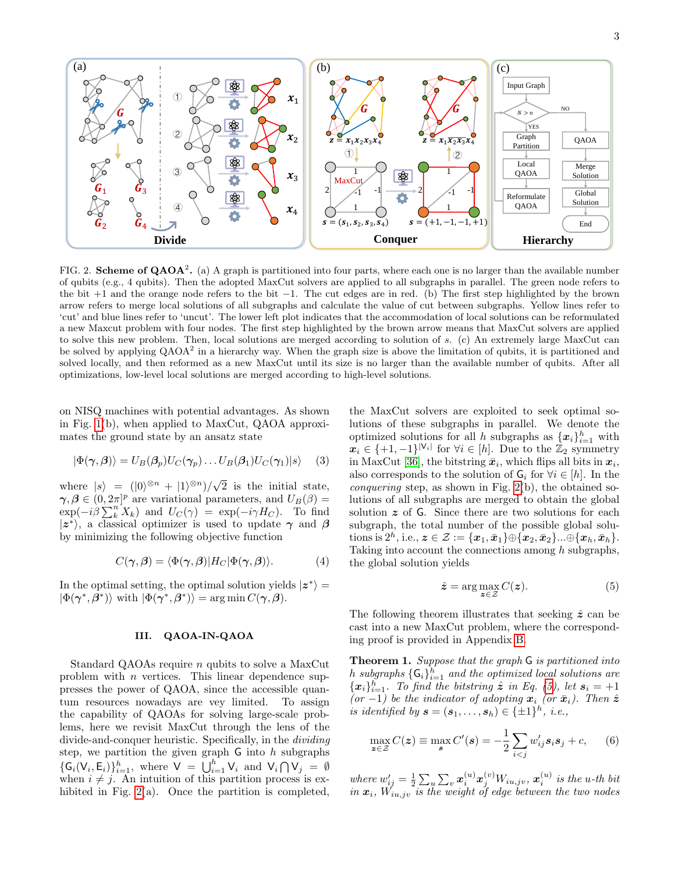

<span id="page-2-0"></span>FIG. 2. **Scheme of QAOA<sup>2</sup>.** (a) A graph is partitioned into four parts, where each one is no larger than the available number of qubits (e.g., 4 qubits). Then the adopted MaxCut solvers are applied to all subgraphs in parallel. The green node refers to the bit +1 and the orange node refers to the bit −1. The cut edges are in red. (b) The first step highlighted by the brown arrow refers to merge local solutions of all subgraphs and calculate the value of cut between subgraphs. Yellow lines refer to 'cut' and blue lines refer to 'uncut'. The lower left plot indicates that the accommodation of local solutions can be reformulated a new Maxcut problem with four nodes. The first step highlighted by the brown arrow means that MaxCut solvers are applied to solve this new problem. Then, local solutions are merged according to solution of s. (c) An extremely large MaxCut can be solved by applying  $QAOA^2$  in a hierarchy way. When the graph size is above the limitation of qubits, it is partitioned and solved locally, and then reformed as a new MaxCut until its size is no larger than the available number of qubits. After all optimizations, low-level local solutions are merged according to high-level solutions.

on NISQ machines with potential advantages. As shown in Fig. [1\(](#page-1-0)b), when applied to MaxCut, QAOA approximates the ground state by an ansatz state

<span id="page-2-3"></span>
$$
|\Phi(\gamma,\beta)\rangle = U_B(\beta_p)U_C(\gamma_p)\dots U_B(\beta_1)U_C(\gamma_1)|s\rangle \quad (3)
$$

where  $|s\rangle = (|0\rangle^{\otimes n} + |1\rangle^{\otimes n})/\sqrt{\ }$ 2 is the initial state,  $\gamma, \beta \in (0, 2\pi]^p$  are variational parameters, and  $U_B(\beta) =$  $\exp(-i\beta \sum_{k}^{n} X_{k})$  and  $U_{C}(\gamma) = \exp(-i\gamma H_{C})$ . To find  $|z^*\rangle$ , a classical optimizer is used to update  $\gamma$  and  $\beta$ by minimizing the following objective function

$$
C(\gamma, \beta) = \langle \Phi(\gamma, \beta) | H_C | \Phi(\gamma, \beta) \rangle.
$$
 (4)

In the optimal setting, the optimal solution yields  $|z^*\rangle =$  $|\Phi(\gamma^*, \beta^*)\rangle$  with  $|\Phi(\gamma^*, \beta^*)\rangle = \arg \min C(\gamma, \beta)$ .

## III. QAOA-IN-QAOA

Standard QAOAs require n qubits to solve a MaxCut problem with n vertices. This linear dependence suppresses the power of QAOA, since the accessible quantum resources nowadays are vey limited. To assign the capability of QAOAs for solving large-scale problems, here we revisit MaxCut through the lens of the divide-and-conquer heuristic. Specifically, in the dividing step, we partition the given graph  $\mathsf G$  into h subgraphs  $\{\mathsf G_i(\mathsf V_i,\mathsf E_i)\}_{i=1}^h$ , where  $\mathsf V\;=\;\bigcup_{i=1}^h \mathsf V_i$  and  $\mathsf V_i\bigcap\mathsf V_j\;=\;\emptyset$ when  $i \neq j$ . An intuition of this partition process is ex-hibited in Fig. [2\(](#page-2-0)a). Once the partition is completed,

the MaxCut solvers are exploited to seek optimal solutions of these subgraphs in parallel. We denote the optimized solutions for all h subgraphs as  $\{x_i\}_{i=1}^h$  with  $\mathbf{x}_i \in \{+1, -1\}^{|\mathsf{V}_i|}$  for  $\forall i \in [h]$ . Due to the  $\mathbb{Z}_2$  symmetry in MaxCut [\[36\]](#page-7-14), the bitstring  $\bar{x}_i$ , which flips all bits in  $x_i$ , also corresponds to the solution of  $G_i$  for  $\forall i \in [h]$ . In the conquering step, as shown in Fig. [2\(](#page-2-0)b), the obtained solutions of all subgraphs are merged to obtain the global solution  $z$  of  $\overline{G}$ . Since there are two solutions for each subgraph, the total number of the possible global solu- ${\rm tions}$  is  $2^h,$  i.e.,  $\boldsymbol{z}\in\mathcal{Z}:=\{\boldsymbol{x}_1,\bar{\boldsymbol{x}}_1\} \oplus \{\boldsymbol{x}_2,\bar{\boldsymbol{x}}_2\}...\oplus \{\boldsymbol{x}_h,\bar{\boldsymbol{x}}_h\}.$ Taking into account the connections among h subgraphs, the global solution yields

<span id="page-2-1"></span>
$$
\hat{z} = \arg\max_{z \in \mathcal{Z}} C(z). \tag{5}
$$

The following theorem illustrates that seeking  $\hat{z}$  can be cast into a new MaxCut problem, where the corresponding proof is provided in Appendix [B.](#page-10-0)

<span id="page-2-2"></span>Theorem 1. Suppose that the graph G is partitioned into h subgraphs  $\{ \mathsf{G}_i \}_{i=1}^h$  and the optimized local solutions are  ${x_i}_{i=1}^h$ . To find the bitstring  $\hat{z}$  in Eq. [\(5\)](#page-2-1), let  $s_i = +1$ (or -1) be the indicator of adopting  $x_i$  (or  $\bar{x}_i$ ). Then  $\hat{z}$ is identified by  $\mathbf{s} = (\mathbf{s}_1, \dots, \mathbf{s}_h) \in \{\pm 1\}^h$ , i.e.,

$$
\max_{\mathbf{z}\in\mathcal{Z}} C(\mathbf{z}) \equiv \max_{\mathbf{s}} C'(\mathbf{s}) = -\frac{1}{2} \sum_{i
$$

where  $w'_{ij} = \frac{1}{2} \sum_u \sum_v \boldsymbol{x}^{(u)}_i \boldsymbol{x}^{(v)}_j W_{iu,jv},$   $\boldsymbol{x}^{(u)}_i$  is the u-th bit in  $\mathbf{x}_i$ ,  $W_{iu,jv}$  is the weight of edge between the two nodes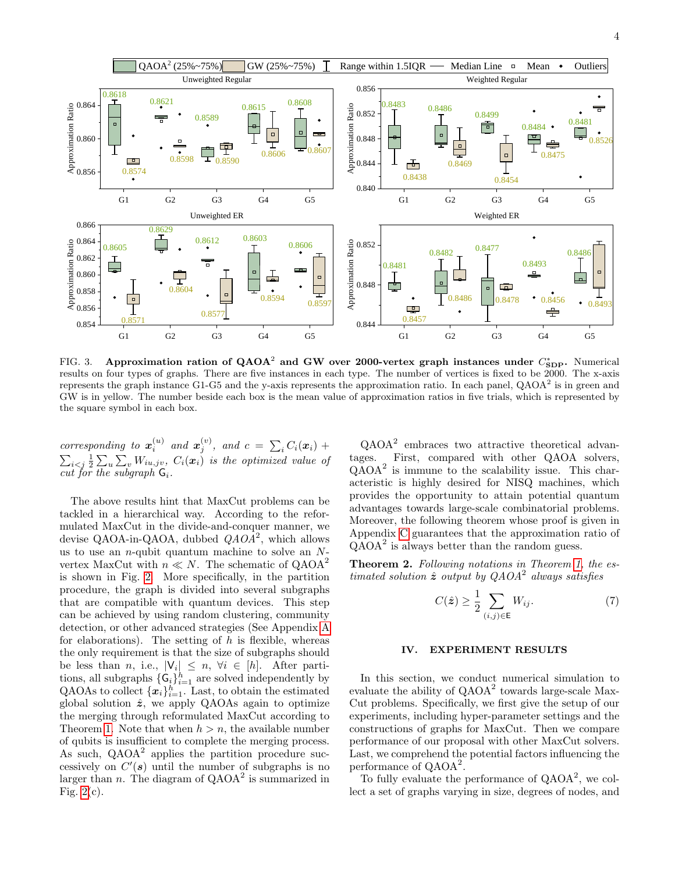

<span id="page-3-0"></span>FIG. 3. Approximation ration of QAOA<sup>2</sup> and GW over 2000-vertex graph instances under  $C_{\textbf{\text{SDP}}}^*$ . Numerical results on four types of graphs. There are five instances in each type. The number of vertices is fixed to be 2000. The x-axis represents the graph instance G1-G5 and the y-axis represents the approximation ratio. In each panel,  $QAOA<sup>2</sup>$  is in green and GW is in yellow. The number beside each box is the mean value of approximation ratios in five trials, which is represented by the square symbol in each box.

corresponding to  $\mathbf{x}_i^{(u)}$  and  $\mathbf{x}_j^{(v)}$ , and  $c = \sum_i C_i(\mathbf{x}_i) + \sum_j c_i(\mathbf{x}_i)$  $\sum_{i < j} \frac{1}{2} \sum_{u} \sum_{v} W_{iu,jv}$ ,  $C_i(x_i)$  is the optimized value of cut for the subgraph  $G_i$ .

The above results hint that MaxCut problems can be tackled in a hierarchical way. According to the reformulated MaxCut in the divide-and-conquer manner, we devise QAOA-in-QAOA, dubbed  $QAO\overline{A}^2$ , which allows us to use an  $n$ -qubit quantum machine to solve an  $N$ vertex MaxCut with  $n \ll N$ . The schematic of  $QAOA^2$ is shown in Fig. [2.](#page-2-0) More specifically, in the partition procedure, the graph is divided into several subgraphs that are compatible with quantum devices. This step can be achieved by using random clustering, community detection, or other advanced strategies (See Appendix [A](#page-10-1) for elaborations). The setting of  $h$  is flexible, whereas the only requirement is that the size of subgraphs should be less than *n*, i.e.,  $|V_i| \leq n, \forall i \in [h]$ . After partitions, all subgraphs  $\{\mathsf G_i\}_{i=1}^h$  are solved independently by QAOAs to collect  $\{\boldsymbol{x}_i\}_{i=1}^h$ . Last, to obtain the estimated global solution  $\hat{z}$ , we apply QAOAs again to optimize the merging through reformulated MaxCut according to Theorem [1.](#page-2-2) Note that when  $h > n$ , the available number of qubits is insufficient to complete the merging process. As such, QAOA<sup>2</sup> applies the partition procedure successively on  $C'(s)$  until the number of subgraphs is no larger than n. The diagram of  $QAOA<sup>2</sup>$  is summarized in Fig.  $2(c)$ .

QAOA<sup>2</sup> embraces two attractive theoretical advantages. First, compared with other QAOA solvers, QAOA<sup>2</sup> is immune to the scalability issue. This characteristic is highly desired for NISQ machines, which provides the opportunity to attain potential quantum advantages towards large-scale combinatorial problems. Moreover, the following theorem whose proof is given in Appendix [C](#page-11-0) guarantees that the approximation ratio of QAOA<sup>2</sup> is always better than the random guess.

<span id="page-3-1"></span>**Theorem 2.** Following notations in Theorem [1,](#page-2-2) the estimated solution  $\hat{z}$  output by  $QAOA^2$  always satisfies

$$
C(\hat{\mathbf{z}}) \ge \frac{1}{2} \sum_{(i,j) \in \mathsf{E}} W_{ij}.
$$
 (7)

## IV. EXPERIMENT RESULTS

In this section, we conduct numerical simulation to evaluate the ability of  $QAOA<sup>2</sup>$  towards large-scale Max-Cut problems. Specifically, we first give the setup of our experiments, including hyper-parameter settings and the constructions of graphs for MaxCut. Then we compare performance of our proposal with other MaxCut solvers. Last, we comprehend the potential factors influencing the performance of QAOA<sup>2</sup>.

To fully evaluate the performance of  $QAOA<sup>2</sup>$ , we collect a set of graphs varying in size, degrees of nodes, and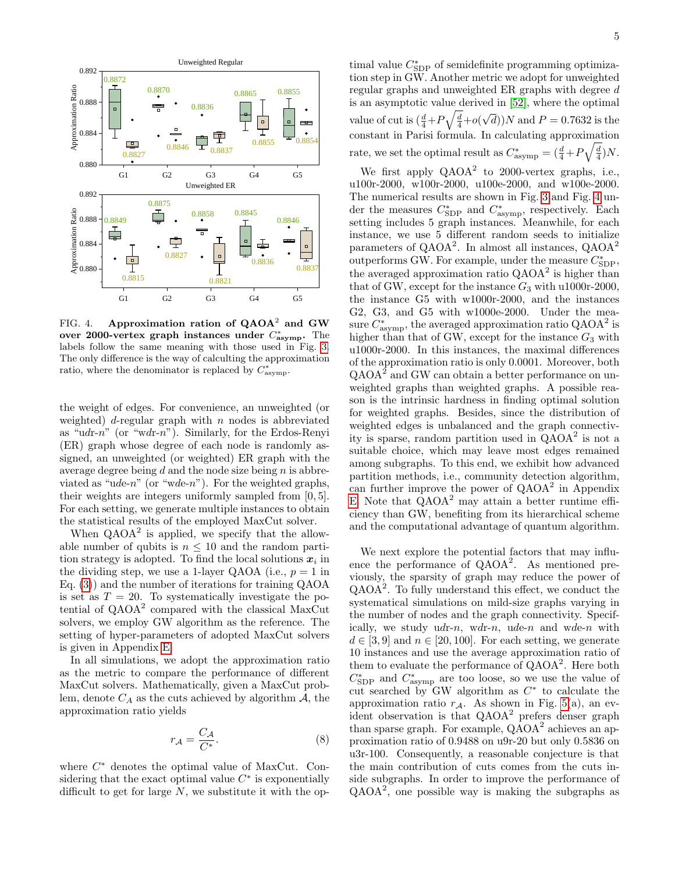

<span id="page-4-0"></span>FIG. 4. Approximation ration of  $QAOA<sup>2</sup>$  and GW over 2000-vertex graph instances under  $C^*_{\text{asymp}}$ . The labels follow the same meaning with those used in Fig. [3.](#page-3-0) The only difference is the way of calculting the approximation ratio, where the denominator is replaced by  $C_{\text{asymp}}^*$ .

the weight of edges. For convenience, an unweighted (or weighted)  $d$ -regular graph with  $n$  nodes is abbreviated as "udr-n" (or "wdr-n"). Similarly, for the Erdos-Renyi (ER) graph whose degree of each node is randomly assigned, an unweighted (or weighted) ER graph with the average degree being  $d$  and the node size being  $n$  is abbreviated as "ude-n" (or "wde-n"). For the weighted graphs, their weights are integers uniformly sampled from [0, 5]. For each setting, we generate multiple instances to obtain the statistical results of the employed MaxCut solver.

When  $QAOA<sup>2</sup>$  is applied, we specify that the allowable number of qubits is  $n \leq 10$  and the random partition strategy is adopted. To find the local solutions  $x_i$  in the dividing step, we use a 1-layer QAOA (i.e.,  $p = 1$  in Eq. [\(3\)](#page-2-3)) and the number of iterations for training QAOA is set as  $T = 20$ . To systematically investigate the potential of QAOA<sup>2</sup> compared with the classical MaxCut solvers, we employ GW algorithm as the reference. The setting of hyper-parameters of adopted MaxCut solvers is given in Appendix [E.](#page-14-0)

In all simulations, we adopt the approximation ratio as the metric to compare the performance of different MaxCut solvers. Mathematically, given a MaxCut problem, denote  $C_A$  as the cuts achieved by algorithm  $A$ , the approximation ratio yields

$$
r_{\mathcal{A}} = \frac{C_{\mathcal{A}}}{C^*}.\tag{8}
$$

where  $C^*$  denotes the optimal value of MaxCut. Considering that the exact optimal value  $C^*$  is exponentially difficult to get for large  $N$ , we substitute it with the op-

timal value  $C_{\operatorname{SDP}}^*$  of semidefinite programming optimization step in GW. Another metric we adopt for unweighted regular graphs and unweighted ER graphs with degree d is an asymptotic value derived in [\[52\]](#page-8-7), where the optimal value of cut is  $\left(\frac{d}{4}+P\sqrt{\frac{d}{4}}+o\right)$ √  $(d)$ )N and  $P = 0.7632$  is the constant in Parisi formula. In calculating approximation rate, we set the optimal result as  $C^*_{\text{asymp}} = \left(\frac{d}{4} + P\sqrt{\frac{d}{4}}\right)N$ .

G1 G2 G3 G4 G5 the instance G5 with w1000r-2000, and the instances  $\frac{0.8846}{1}$  setting includes 5 graph instances. Meanwhile, for each  $\frac{0.8837}{h}$  the averaged approximation ratio  $QAOA^2$  is higher than We first apply  $QAOA^2$  to 2000-vertex graphs, i.e., u100r-2000, w100r-2000, u100e-2000, and w100e-2000. The numerical results are shown in Fig. [3](#page-3-0) and Fig. [4](#page-4-0) under the measures  $C_{SDP}^*$  and  $C_{asymp}^*$ , respectively. Each instance, we use 5 different random seeds to initialize parameters of QAOA<sup>2</sup>. In almost all instances, QAOA<sup>2</sup> outperforms GW. For example, under the measure  $C_{SDP}^*$ , that of GW, except for the instance  $G_3$  with u1000r-2000, G2, G3, and G5 with w1000e-2000. Under the measure  $C^*_{\text{asymp}}$ , the averaged approximation ratio QAOA<sup>2</sup> is higher than that of GW, except for the instance  $G_3$  with u1000r-2000. In this instances, the maximal differences of the approximation ratio is only 0.0001. Moreover, both  $QAOA<sup>2</sup>$  and GW can obtain a better performance on unweighted graphs than weighted graphs. A possible reason is the intrinsic hardness in finding optimal solution for weighted graphs. Besides, since the distribution of weighted edges is unbalanced and the graph connectivity is sparse, random partition used in  $QAOA<sup>2</sup>$  is not a suitable choice, which may leave most edges remained among subgraphs. To this end, we exhibit how advanced partition methods, i.e., community detection algorithm, can further improve the power of  $QAOA<sup>2</sup>$  in Appendix [E.](#page-14-0) Note that  $QAOA<sup>2</sup>$  may attain a better runtime efficiency than GW, benefiting from its hierarchical scheme and the computational advantage of quantum algorithm.

> We next explore the potential factors that may influence the performance of QAOA<sup>2</sup> . As mentioned previously, the sparsity of graph may reduce the power of QAOA<sup>2</sup> . To fully understand this effect, we conduct the systematical simulations on mild-size graphs varying in the number of nodes and the graph connectivity. Specifically, we study  $udr-n$ ,  $wdr-n$ ,  $ude-n$  and  $wde-n$  with  $d \in [3, 9]$  and  $n \in [20, 100]$ . For each setting, we generate 10 instances and use the average approximation ratio of them to evaluate the performance of  $QAOA<sup>2</sup>$ . Here both  $C_{\text{SDP}}^*$  and  $C_{\text{asymp}}^*$  are too loose, so we use the value of cut searched by GW algorithm as  $C^*$  to calculate the approximation ratio  $r_A$ . As shown in Fig. [5\(](#page-5-0)a), an evident observation is that QAOA<sup>2</sup> prefers denser graph than sparse graph. For example,  $QAOA<sup>2</sup>$  achieves an approximation ratio of 0.9488 on u9r-20 but only 0.5836 on u3r-100. Consequently, a reasonable conjecture is that the main contribution of cuts comes from the cuts inside subgraphs. In order to improve the performance of QAOA<sup>2</sup> , one possible way is making the subgraphs as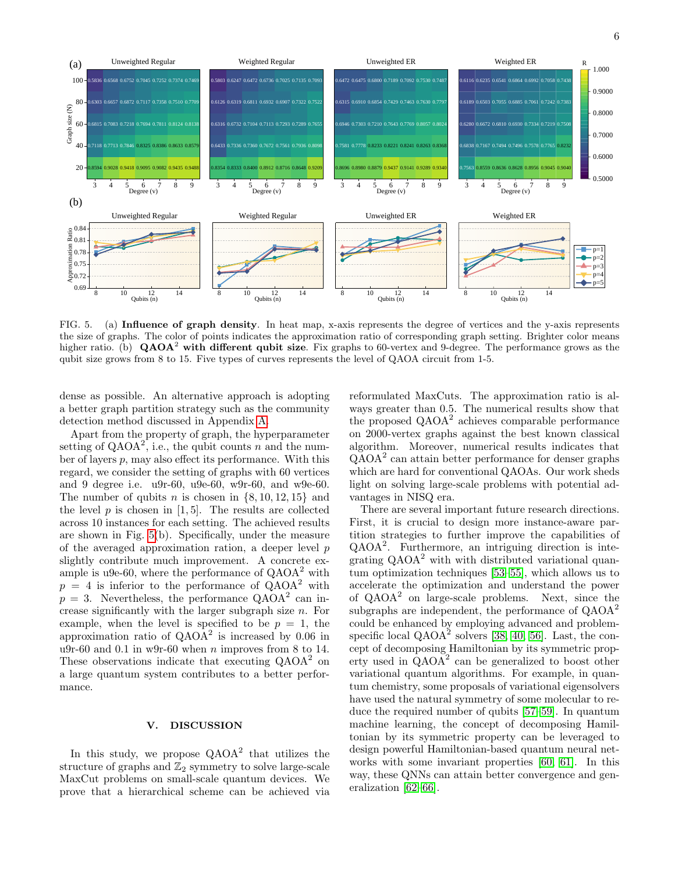

<span id="page-5-0"></span>FIG. 5. (a) Influence of graph density. In heat map, x-axis represents the degree of vertices and the y-axis represents the size of graphs. The color of points indicates the approximation ratio of corresponding graph setting. Brighter color means higher ratio. (b)  $\mathbf{QAOA}^2$  with different qubit size. Fix graphs to 60-vertex and 9-degree. The performance grows as the qubit size grows from 8 to 15. Five types of curves represents the level of QAOA circuit from 1-5.

dense as possible. An alternative approach is adopting a better graph partition strategy such as the community detection method discussed in Appendix [A.](#page-10-1)

Apart from the property of graph, the hyperparameter setting of  $QAOA^2$ , i.e., the qubit counts n and the number of layers p, may also effect its performance. With this regard, we consider the setting of graphs with 60 vertices and 9 degree i.e. u9r-60, u9e-60, w9r-60, and w9e-60. The number of qubits n is chosen in  $\{8, 10, 12, 15\}$  and the level  $p$  is chosen in [1,5]. The results are collected across 10 instances for each setting. The achieved results are shown in Fig. [5\(](#page-5-0)b). Specifically, under the measure of the averaged approximation ration, a deeper level p slightly contribute much improvement. A concrete example is u9e-60, where the performance of  $QAOA<sup>2</sup>$  with  $p = 4$  is inferior to the performance of  $QAOA<sup>2</sup>$  with  $p = 3$ . Nevertheless, the performance QAOA<sup>2</sup> can increase significantly with the larger subgraph size n. For example, when the level is specified to be  $p = 1$ , the approximation ratio of  $QAOA^2$  is increased by 0.06 in u9r-60 and 0.1 in w9r-60 when  $n$  improves from 8 to 14. These observations indicate that executing  $QAOA<sup>2</sup>$  on a large quantum system contributes to a better performance.

## V. DISCUSSION

In this study, we propose  $QAOA^2$  that utilizes the structure of graphs and  $\mathbb{Z}_2$  symmetry to solve large-scale MaxCut problems on small-scale quantum devices. We prove that a hierarchical scheme can be achieved via

reformulated MaxCuts. The approximation ratio is always greater than 0.5. The numerical results show that the proposed  $QAOA<sup>2</sup>$  achieves comparable performance on 2000-vertex graphs against the best known classical algorithm. Moreover, numerical results indicates that QAOA<sup>2</sup> can attain better performance for denser graphs which are hard for conventional QAOAs. Our work sheds light on solving large-scale problems with potential advantages in NISQ era.

There are several important future research directions. First, it is crucial to design more instance-aware partition strategies to further improve the capabilities of QAOA<sup>2</sup> . Furthermore, an intriguing direction is integrating  $QAOA<sup>2</sup>$  with with distributed variational quantum optimization techniques [\[53–](#page-8-8)[55\]](#page-8-9), which allows us to accelerate the optimization and understand the power of QAOA<sup>2</sup> on large-scale problems. Next, since the subgraphs are independent, the performance of  $QAOA<sup>2</sup>$ could be enhanced by employing advanced and problemspecific local  $QAOA<sup>2</sup>$  solvers [\[38,](#page-7-16) [40,](#page-7-17) [56\]](#page-8-10). Last, the concept of decomposing Hamiltonian by its symmetric property used in  $\widehat{QAOA}^2$  can be generalized to boost other variational quantum algorithms. For example, in quantum chemistry, some proposals of variational eigensolvers have used the natural symmetry of some molecular to reduce the required number of qubits [\[57](#page-8-11)[–59\]](#page-8-12). In quantum machine learning, the concept of decomposing Hamiltonian by its symmetric property can be leveraged to design powerful Hamiltonian-based quantum neural networks with some invariant properties [\[60,](#page-8-13) [61\]](#page-8-14). In this way, these QNNs can attain better convergence and generalization [\[62](#page-8-15)[–66\]](#page-8-16).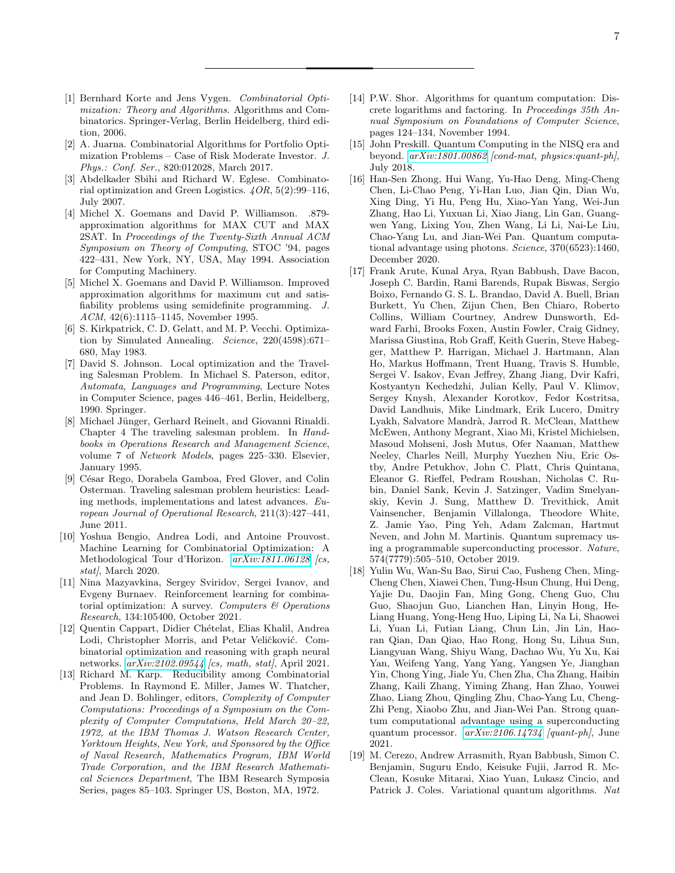- <span id="page-6-0"></span>[1] Bernhard Korte and Jens Vygen. Combinatorial Optimization: Theory and Algorithms. Algorithms and Combinatorics. Springer-Verlag, Berlin Heidelberg, third edition, 2006.
- <span id="page-6-1"></span>[2] A. Juarna. Combinatorial Algorithms for Portfolio Optimization Problems – Case of Risk Moderate Investor. J. Phys.: Conf. Ser., 820:012028, March 2017.
- <span id="page-6-2"></span>[3] Abdelkader Sbihi and Richard W. Eglese. Combinatorial optimization and Green Logistics. 4OR, 5(2):99–116, July 2007.
- <span id="page-6-3"></span>[4] Michel X. Goemans and David P. Williamson. .879 approximation algorithms for MAX CUT and MAX 2SAT. In Proceedings of the Twenty-Sixth Annual ACM Symposium on Theory of Computing, STOC '94, pages 422–431, New York, NY, USA, May 1994. Association for Computing Machinery.
- <span id="page-6-4"></span>[5] Michel X. Goemans and David P. Williamson. Improved approximation algorithms for maximum cut and satisfiability problems using semidefinite programming. J. ACM, 42(6):1115–1145, November 1995.
- <span id="page-6-5"></span>[6] S. Kirkpatrick, C. D. Gelatt, and M. P. Vecchi. Optimization by Simulated Annealing. Science, 220(4598):671– 680, May 1983.
- <span id="page-6-6"></span>[7] David S. Johnson. Local optimization and the Traveling Salesman Problem. In Michael S. Paterson, editor, Automata, Languages and Programming, Lecture Notes in Computer Science, pages 446–461, Berlin, Heidelberg, 1990. Springer.
- [8] Michael Jünger, Gerhard Reinelt, and Giovanni Rinaldi. Chapter 4 The traveling salesman problem. In Handbooks in Operations Research and Management Science, volume 7 of Network Models, pages 225–330. Elsevier, January 1995.
- <span id="page-6-7"></span>[9] César Rego, Dorabela Gamboa, Fred Glover, and Colin Osterman. Traveling salesman problem heuristics: Leading methods, implementations and latest advances. European Journal of Operational Research, 211(3):427–441, June 2011.
- <span id="page-6-8"></span>[10] Yoshua Bengio, Andrea Lodi, and Antoine Prouvost. Machine Learning for Combinatorial Optimization: A Methodological Tour d'Horizon. [arXiv:1811.06128](http://arxiv.org/abs/1811.06128) [cs,  $stat$ , March 2020.
- [11] Nina Mazyavkina, Sergey Sviridov, Sergei Ivanov, and Evgeny Burnaev. Reinforcement learning for combinatorial optimization: A survey. Computers  $\mathcal B$  Operations Research, 134:105400, October 2021.
- <span id="page-6-9"></span>[12] Quentin Cappart, Didier Chételat, Elias Khalil, Andrea Lodi, Christopher Morris, and Petar Veličković. Combinatorial optimization and reasoning with graph neural networks.  $arXiv:2102.09544$  [cs, math, stat], April 2021.
- <span id="page-6-10"></span>[13] Richard M. Karp. Reducibility among Combinatorial Problems. In Raymond E. Miller, James W. Thatcher, and Jean D. Bohlinger, editors, Complexity of Computer Computations: Proceedings of a Symposium on the Complexity of Computer Computations, Held March 20–22, 1972, at the IBM Thomas J. Watson Research Center, Yorktown Heights, New York, and Sponsored by the Office of Naval Research, Mathematics Program, IBM World Trade Corporation, and the IBM Research Mathematical Sciences Department, The IBM Research Symposia Series, pages 85–103. Springer US, Boston, MA, 1972.
- <span id="page-6-11"></span>[14] P.W. Shor. Algorithms for quantum computation: Discrete logarithms and factoring. In Proceedings 35th Annual Symposium on Foundations of Computer Science, pages 124–134, November 1994.
- <span id="page-6-12"></span>[15] John Preskill. Quantum Computing in the NISQ era and beyond. [arXiv:1801.00862](http://arxiv.org/abs/1801.00862) [cond-mat, physics:quant-ph], July 2018.
- <span id="page-6-13"></span>[16] Han-Sen Zhong, Hui Wang, Yu-Hao Deng, Ming-Cheng Chen, Li-Chao Peng, Yi-Han Luo, Jian Qin, Dian Wu, Xing Ding, Yi Hu, Peng Hu, Xiao-Yan Yang, Wei-Jun Zhang, Hao Li, Yuxuan Li, Xiao Jiang, Lin Gan, Guangwen Yang, Lixing You, Zhen Wang, Li Li, Nai-Le Liu, Chao-Yang Lu, and Jian-Wei Pan. Quantum computational advantage using photons. Science, 370(6523):1460, December 2020.
- [17] Frank Arute, Kunal Arya, Ryan Babbush, Dave Bacon, Joseph C. Bardin, Rami Barends, Rupak Biswas, Sergio Boixo, Fernando G. S. L. Brandao, David A. Buell, Brian Burkett, Yu Chen, Zijun Chen, Ben Chiaro, Roberto Collins, William Courtney, Andrew Dunsworth, Edward Farhi, Brooks Foxen, Austin Fowler, Craig Gidney, Marissa Giustina, Rob Graff, Keith Guerin, Steve Habegger, Matthew P. Harrigan, Michael J. Hartmann, Alan Ho, Markus Hoffmann, Trent Huang, Travis S. Humble, Sergei V. Isakov, Evan Jeffrey, Zhang Jiang, Dvir Kafri, Kostyantyn Kechedzhi, Julian Kelly, Paul V. Klimov, Sergey Knysh, Alexander Korotkov, Fedor Kostritsa, David Landhuis, Mike Lindmark, Erik Lucero, Dmitry Lyakh, Salvatore Mandrà, Jarrod R. McClean, Matthew McEwen, Anthony Megrant, Xiao Mi, Kristel Michielsen, Masoud Mohseni, Josh Mutus, Ofer Naaman, Matthew Neeley, Charles Neill, Murphy Yuezhen Niu, Eric Ostby, Andre Petukhov, John C. Platt, Chris Quintana, Eleanor G. Rieffel, Pedram Roushan, Nicholas C. Rubin, Daniel Sank, Kevin J. Satzinger, Vadim Smelyanskiy, Kevin J. Sung, Matthew D. Trevithick, Amit Vainsencher, Benjamin Villalonga, Theodore White, Z. Jamie Yao, Ping Yeh, Adam Zalcman, Hartmut Neven, and John M. Martinis. Quantum supremacy using a programmable superconducting processor. Nature, 574(7779):505–510, October 2019.
- <span id="page-6-14"></span>[18] Yulin Wu, Wan-Su Bao, Sirui Cao, Fusheng Chen, Ming-Cheng Chen, Xiawei Chen, Tung-Hsun Chung, Hui Deng, Yajie Du, Daojin Fan, Ming Gong, Cheng Guo, Chu Guo, Shaojun Guo, Lianchen Han, Linyin Hong, He-Liang Huang, Yong-Heng Huo, Liping Li, Na Li, Shaowei Li, Yuan Li, Futian Liang, Chun Lin, Jin Lin, Haoran Qian, Dan Qiao, Hao Rong, Hong Su, Lihua Sun, Liangyuan Wang, Shiyu Wang, Dachao Wu, Yu Xu, Kai Yan, Weifeng Yang, Yang Yang, Yangsen Ye, Jianghan Yin, Chong Ying, Jiale Yu, Chen Zha, Cha Zhang, Haibin Zhang, Kaili Zhang, Yiming Zhang, Han Zhao, Youwei Zhao, Liang Zhou, Qingling Zhu, Chao-Yang Lu, Cheng-Zhi Peng, Xiaobo Zhu, and Jian-Wei Pan. Strong quantum computational advantage using a superconducting quantum processor. [arXiv:2106.14734](http://arxiv.org/abs/2106.14734) [quant-ph], June 2021.
- <span id="page-6-15"></span>[19] M. Cerezo, Andrew Arrasmith, Ryan Babbush, Simon C. Benjamin, Suguru Endo, Keisuke Fujii, Jarrod R. Mc-Clean, Kosuke Mitarai, Xiao Yuan, Lukasz Cincio, and Patrick J. Coles. Variational quantum algorithms. Nat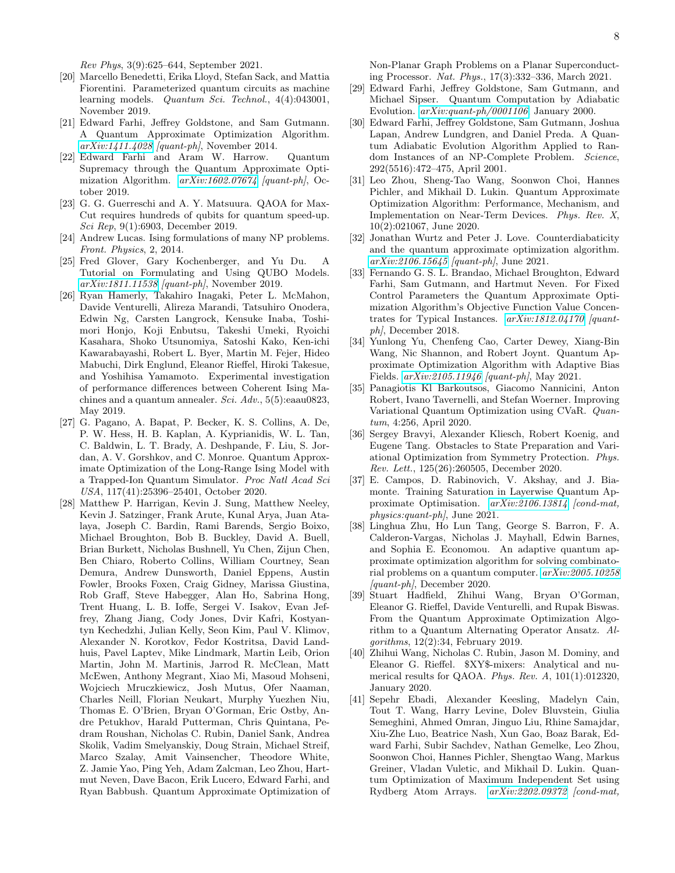Rev Phys, 3(9):625–644, September 2021.

- <span id="page-7-0"></span>[20] Marcello Benedetti, Erika Lloyd, Stefan Sack, and Mattia Fiorentini. Parameterized quantum circuits as machine learning models. Quantum Sci. Technol., 4(4):043001, November 2019.
- <span id="page-7-1"></span>[21] Edward Farhi, Jeffrey Goldstone, and Sam Gutmann. A Quantum Approximate Optimization Algorithm. [arXiv:1411.4028](http://arxiv.org/abs/1411.4028) [quant-ph], November 2014.
- <span id="page-7-2"></span>[22] Edward Farhi and Aram W. Harrow. Quantum Supremacy through the Quantum Approximate Optimization Algorithm. [arXiv:1602.07674](http://arxiv.org/abs/1602.07674) [quant-ph], October 2019.
- <span id="page-7-3"></span>[23] G. G. Guerreschi and A. Y. Matsuura. QAOA for Max-Cut requires hundreds of qubits for quantum speed-up. Sci Rep, 9(1):6903, December 2019.
- <span id="page-7-4"></span>[24] Andrew Lucas. Ising formulations of many NP problems. Front. Physics, 2, 2014.
- <span id="page-7-5"></span>[25] Fred Glover, Gary Kochenberger, and Yu Du. A Tutorial on Formulating and Using QUBO Models. [arXiv:1811.11538](http://arxiv.org/abs/1811.11538) [quant-ph], November 2019.
- <span id="page-7-6"></span>[26] Ryan Hamerly, Takahiro Inagaki, Peter L. McMahon, Davide Venturelli, Alireza Marandi, Tatsuhiro Onodera, Edwin Ng, Carsten Langrock, Kensuke Inaba, Toshimori Honjo, Koji Enbutsu, Takeshi Umeki, Ryoichi Kasahara, Shoko Utsunomiya, Satoshi Kako, Ken-ichi Kawarabayashi, Robert L. Byer, Martin M. Fejer, Hideo Mabuchi, Dirk Englund, Eleanor Rieffel, Hiroki Takesue, and Yoshihisa Yamamoto. Experimental investigation of performance differences between Coherent Ising Machines and a quantum annealer. Sci. Adv., 5(5):eaau0823, May 2019.
- [27] G. Pagano, A. Bapat, P. Becker, K. S. Collins, A. De, P. W. Hess, H. B. Kaplan, A. Kyprianidis, W. L. Tan, C. Baldwin, L. T. Brady, A. Deshpande, F. Liu, S. Jordan, A. V. Gorshkov, and C. Monroe. Quantum Approximate Optimization of the Long-Range Ising Model with a Trapped-Ion Quantum Simulator. Proc Natl Acad Sci USA, 117(41):25396–25401, October 2020.
- <span id="page-7-7"></span>[28] Matthew P. Harrigan, Kevin J. Sung, Matthew Neeley, Kevin J. Satzinger, Frank Arute, Kunal Arya, Juan Atalaya, Joseph C. Bardin, Rami Barends, Sergio Boixo, Michael Broughton, Bob B. Buckley, David A. Buell, Brian Burkett, Nicholas Bushnell, Yu Chen, Zijun Chen, Ben Chiaro, Roberto Collins, William Courtney, Sean Demura, Andrew Dunsworth, Daniel Eppens, Austin Fowler, Brooks Foxen, Craig Gidney, Marissa Giustina, Rob Graff, Steve Habegger, Alan Ho, Sabrina Hong, Trent Huang, L. B. Ioffe, Sergei V. Isakov, Evan Jeffrey, Zhang Jiang, Cody Jones, Dvir Kafri, Kostyantyn Kechedzhi, Julian Kelly, Seon Kim, Paul V. Klimov, Alexander N. Korotkov, Fedor Kostritsa, David Landhuis, Pavel Laptev, Mike Lindmark, Martin Leib, Orion Martin, John M. Martinis, Jarrod R. McClean, Matt McEwen, Anthony Megrant, Xiao Mi, Masoud Mohseni, Wojciech Mruczkiewicz, Josh Mutus, Ofer Naaman, Charles Neill, Florian Neukart, Murphy Yuezhen Niu, Thomas E. O'Brien, Bryan O'Gorman, Eric Ostby, Andre Petukhov, Harald Putterman, Chris Quintana, Pedram Roushan, Nicholas C. Rubin, Daniel Sank, Andrea Skolik, Vadim Smelyanskiy, Doug Strain, Michael Streif, Marco Szalay, Amit Vainsencher, Theodore White, Z. Jamie Yao, Ping Yeh, Adam Zalcman, Leo Zhou, Hartmut Neven, Dave Bacon, Erik Lucero, Edward Farhi, and Ryan Babbush. Quantum Approximate Optimization of

Non-Planar Graph Problems on a Planar Superconducting Processor. Nat. Phys., 17(3):332–336, March 2021.

- <span id="page-7-8"></span>[29] Edward Farhi, Jeffrey Goldstone, Sam Gutmann, and Michael Sipser. Quantum Computation by Adiabatic Evolution. [arXiv:quant-ph/0001106](http://arxiv.org/abs/quant-ph/0001106), January 2000.
- <span id="page-7-9"></span>[30] Edward Farhi, Jeffrey Goldstone, Sam Gutmann, Joshua Lapan, Andrew Lundgren, and Daniel Preda. A Quantum Adiabatic Evolution Algorithm Applied to Random Instances of an NP-Complete Problem. Science, 292(5516):472–475, April 2001.
- <span id="page-7-10"></span>[31] Leo Zhou, Sheng-Tao Wang, Soonwon Choi, Hannes Pichler, and Mikhail D. Lukin. Quantum Approximate Optimization Algorithm: Performance, Mechanism, and Implementation on Near-Term Devices. Phys. Rev. X, 10(2):021067, June 2020.
- <span id="page-7-11"></span>[32] Jonathan Wurtz and Peter J. Love. Counterdiabaticity and the quantum approximate optimization algorithm. [arXiv:2106.15645](http://arxiv.org/abs/2106.15645) [quant-ph], June 2021.
- [33] Fernando G. S. L. Brandao, Michael Broughton, Edward Farhi, Sam Gutmann, and Hartmut Neven. For Fixed Control Parameters the Quantum Approximate Optimization Algorithm's Objective Function Value Concentrates for Typical Instances. [arXiv:1812.04170](http://arxiv.org/abs/1812.04170) [quant $ph$ , December 2018.
- <span id="page-7-12"></span>[34] Yunlong Yu, Chenfeng Cao, Carter Dewey, Xiang-Bin Wang, Nic Shannon, and Robert Joynt. Quantum Approximate Optimization Algorithm with Adaptive Bias Fields. [arXiv:2105.11946](http://arxiv.org/abs/2105.11946) [quant-ph], May 2021.
- <span id="page-7-13"></span>[35] Panagiotis Kl Barkoutsos, Giacomo Nannicini, Anton Robert, Ivano Tavernelli, and Stefan Woerner. Improving Variational Quantum Optimization using CVaR. Quantum, 4:256, April 2020.
- <span id="page-7-14"></span>[36] Sergey Bravyi, Alexander Kliesch, Robert Koenig, and Eugene Tang. Obstacles to State Preparation and Variational Optimization from Symmetry Protection. Phys. Rev. Lett., 125(26):260505, December 2020.
- <span id="page-7-15"></span>[37] E. Campos, D. Rabinovich, V. Akshay, and J. Biamonte. Training Saturation in Layerwise Quantum Approximate Optimisation.  $arXiv:2106.13814$  [cond-mat, physics:quant-ph], June 2021.
- <span id="page-7-16"></span>[38] Linghua Zhu, Ho Lun Tang, George S. Barron, F. A. Calderon-Vargas, Nicholas J. Mayhall, Edwin Barnes, and Sophia E. Economou. An adaptive quantum approximate optimization algorithm for solving combinatorial problems on a quantum computer. [arXiv:2005.10258](http://arxiv.org/abs/2005.10258)  $[quant\text{-}ph]$ , December 2020.
- [39] Stuart Hadfield, Zhihui Wang, Bryan O'Gorman, Eleanor G. Rieffel, Davide Venturelli, and Rupak Biswas. From the Quantum Approximate Optimization Algorithm to a Quantum Alternating Operator Ansatz. Algorithms, 12(2):34, February 2019.
- <span id="page-7-17"></span>[40] Zhihui Wang, Nicholas C. Rubin, Jason M. Dominy, and Eleanor G. Rieffel. \$XY\$-mixers: Analytical and numerical results for QAOA. Phys. Rev. A, 101(1):012320, January 2020.
- <span id="page-7-18"></span>[41] Sepehr Ebadi, Alexander Keesling, Madelyn Cain, Tout T. Wang, Harry Levine, Dolev Bluvstein, Giulia Semeghini, Ahmed Omran, Jinguo Liu, Rhine Samajdar, Xiu-Zhe Luo, Beatrice Nash, Xun Gao, Boaz Barak, Edward Farhi, Subir Sachdev, Nathan Gemelke, Leo Zhou, Soonwon Choi, Hannes Pichler, Shengtao Wang, Markus Greiner, Vladan Vuletic, and Mikhail D. Lukin. Quantum Optimization of Maximum Independent Set using Rydberg Atom Arrays. [arXiv:2202.09372](http://arxiv.org/abs/2202.09372) [cond-mat,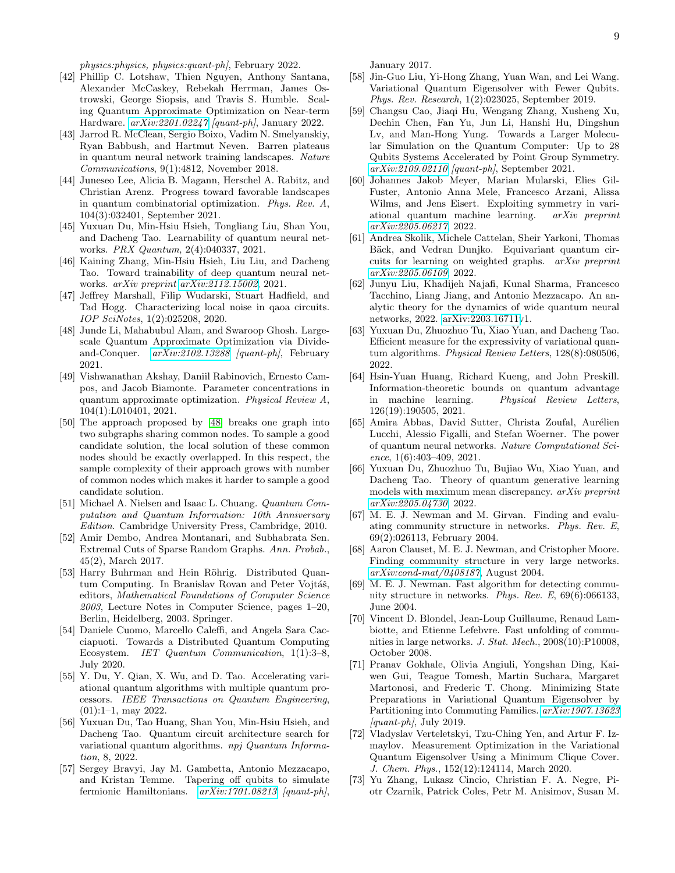physics:physics, physics:quant-ph], February 2022.

- <span id="page-8-0"></span>[42] Phillip C. Lotshaw, Thien Nguyen, Anthony Santana, Alexander McCaskey, Rebekah Herrman, James Ostrowski, George Siopsis, and Travis S. Humble. Scaling Quantum Approximate Optimization on Near-term Hardware. [arXiv:2201.02247](http://arxiv.org/abs/2201.02247) [quant-ph], January 2022.
- [43] Jarrod R. McClean, Sergio Boixo, Vadim N. Smelyanskiy, Ryan Babbush, and Hartmut Neven. Barren plateaus in quantum neural network training landscapes. Nature Communications, 9(1):4812, November 2018.
- [44] Juneseo Lee, Alicia B. Magann, Herschel A. Rabitz, and Christian Arenz. Progress toward favorable landscapes in quantum combinatorial optimization. Phys. Rev. A, 104(3):032401, September 2021.
- [45] Yuxuan Du, Min-Hsiu Hsieh, Tongliang Liu, Shan You, and Dacheng Tao. Learnability of quantum neural networks. PRX Quantum, 2(4):040337, 2021.
- <span id="page-8-1"></span>[46] Kaining Zhang, Min-Hsiu Hsieh, Liu Liu, and Dacheng Tao. Toward trainability of deep quantum neural networks. arXiv preprint [arXiv:2112.15002](http://arxiv.org/abs/2112.15002), 2021.
- <span id="page-8-2"></span>[47] Jeffrey Marshall, Filip Wudarski, Stuart Hadfield, and Tad Hogg. Characterizing local noise in qaoa circuits. IOP SciNotes, 1(2):025208, 2020.
- <span id="page-8-3"></span>[48] Junde Li, Mahabubul Alam, and Swaroop Ghosh. Largescale Quantum Approximate Optimization via Divideand-Conquer. [arXiv:2102.13288](http://arxiv.org/abs/2102.13288) [quant-ph], February 2021.
- <span id="page-8-4"></span>[49] Vishwanathan Akshay, Daniil Rabinovich, Ernesto Campos, and Jacob Biamonte. Parameter concentrations in quantum approximate optimization. Physical Review A, 104(1):L010401, 2021.
- <span id="page-8-5"></span>[50] The approach proposed by [\[48\]](#page-8-3) breaks one graph into two subgraphs sharing common nodes. To sample a good candidate solution, the local solution of these common nodes should be exactly overlapped. In this respect, the sample complexity of their approach grows with number of common nodes which makes it harder to sample a good candidate solution.
- <span id="page-8-6"></span>[51] Michael A. Nielsen and Isaac L. Chuang. Quantum Computation and Quantum Information: 10th Anniversary Edition. Cambridge University Press, Cambridge, 2010.
- <span id="page-8-7"></span>[52] Amir Dembo, Andrea Montanari, and Subhabrata Sen. Extremal Cuts of Sparse Random Graphs. Ann. Probab., 45(2), March 2017.
- <span id="page-8-8"></span>[53] Harry Buhrman and Hein Röhrig. Distributed Quantum Computing. In Branislav Rovan and Peter Vojtáš, editors, Mathematical Foundations of Computer Science 2003, Lecture Notes in Computer Science, pages 1–20, Berlin, Heidelberg, 2003. Springer.
- [54] Daniele Cuomo, Marcello Caleffi, and Angela Sara Cacciapuoti. Towards a Distributed Quantum Computing Ecosystem. IET Quantum Communication, 1(1):3–8, July 2020.
- <span id="page-8-9"></span>[55] Y. Du, Y. Qian, X. Wu, and D. Tao. Accelerating variational quantum algorithms with multiple quantum processors. IEEE Transactions on Quantum Engineering, (01):1–1, may 2022.
- <span id="page-8-10"></span>[56] Yuxuan Du, Tao Huang, Shan You, Min-Hsiu Hsieh, and Dacheng Tao. Quantum circuit architecture search for variational quantum algorithms. npj Quantum Information, 8, 2022.
- <span id="page-8-11"></span>[57] Sergey Bravyi, Jay M. Gambetta, Antonio Mezzacapo, and Kristan Temme. Tapering off qubits to simulate fermionic Hamiltonians.  $arXiv:1701.08213$  [quant-ph],

January 2017.

- [58] Jin-Guo Liu, Yi-Hong Zhang, Yuan Wan, and Lei Wang. Variational Quantum Eigensolver with Fewer Qubits. Phys. Rev. Research, 1(2):023025, September 2019.
- <span id="page-8-12"></span>[59] Changsu Cao, Jiaqi Hu, Wengang Zhang, Xusheng Xu, Dechin Chen, Fan Yu, Jun Li, Hanshi Hu, Dingshun Lv, and Man-Hong Yung. Towards a Larger Molecular Simulation on the Quantum Computer: Up to 28 Qubits Systems Accelerated by Point Group Symmetry. [arXiv:2109.02110](http://arxiv.org/abs/2109.02110) [quant-ph], September 2021.
- <span id="page-8-13"></span>[60] Johannes Jakob Meyer, Marian Mularski, Elies Gil-Fuster, Antonio Anna Mele, Francesco Arzani, Alissa Wilms, and Jens Eisert. Exploiting symmetry in variational quantum machine learning. arXiv preprint [arXiv:2205.06217](http://arxiv.org/abs/2205.06217), 2022.
- <span id="page-8-14"></span>[61] Andrea Skolik, Michele Cattelan, Sheir Yarkoni, Thomas Bäck, and Vedran Dunjko. Equivariant quantum circuits for learning on weighted graphs. arXiv preprint [arXiv:2205.06109](http://arxiv.org/abs/2205.06109), 2022.
- <span id="page-8-15"></span>[62] Junyu Liu, Khadijeh Najafi, Kunal Sharma, Francesco Tacchino, Liang Jiang, and Antonio Mezzacapo. An analytic theory for the dynamics of wide quantum neural networks, 2022. [arXiv:2203.16711v](http://arxiv.org/abs/2203.16711)1.
- [63] Yuxuan Du, Zhuozhuo Tu, Xiao Yuan, and Dacheng Tao. Efficient measure for the expressivity of variational quantum algorithms. Physical Review Letters, 128(8):080506, 2022.
- [64] Hsin-Yuan Huang, Richard Kueng, and John Preskill. Information-theoretic bounds on quantum advantage in machine learning. Physical Review Letters, 126(19):190505, 2021.
- [65] Amira Abbas, David Sutter, Christa Zoufal, Aurélien Lucchi, Alessio Figalli, and Stefan Woerner. The power of quantum neural networks. Nature Computational Science, 1(6):403–409, 2021.
- <span id="page-8-16"></span>[66] Yuxuan Du, Zhuozhuo Tu, Bujiao Wu, Xiao Yuan, and Dacheng Tao. Theory of quantum generative learning models with maximum mean discrepancy. arXiv preprint [arXiv:2205.04730](http://arxiv.org/abs/2205.04730), 2022.
- <span id="page-8-17"></span>[67] M. E. J. Newman and M. Girvan. Finding and evaluating community structure in networks. Phys. Rev. E, 69(2):026113, February 2004.
- <span id="page-8-18"></span>[68] Aaron Clauset, M. E. J. Newman, and Cristopher Moore. Finding community structure in very large networks. [arXiv:cond-mat/0408187](http://arxiv.org/abs/cond-mat/0408187), August 2004.
- [69] M. E. J. Newman. Fast algorithm for detecting community structure in networks. Phys. Rev. E, 69(6):066133, June 2004.
- <span id="page-8-19"></span>[70] Vincent D. Blondel, Jean-Loup Guillaume, Renaud Lambiotte, and Etienne Lefebvre. Fast unfolding of communities in large networks. J. Stat. Mech., 2008(10):P10008, October 2008.
- <span id="page-8-20"></span>[71] Pranav Gokhale, Olivia Angiuli, Yongshan Ding, Kaiwen Gui, Teague Tomesh, Martin Suchara, Margaret Martonosi, and Frederic T. Chong. Minimizing State Preparations in Variational Quantum Eigensolver by Partitioning into Commuting Families. [arXiv:1907.13623](http://arxiv.org/abs/1907.13623)  $\text{[quant-ph]}$ , July 2019.
- <span id="page-8-21"></span>[72] Vladyslav Verteletskyi, Tzu-Ching Yen, and Artur F. Izmaylov. Measurement Optimization in the Variational Quantum Eigensolver Using a Minimum Clique Cover. J. Chem. Phys., 152(12):124114, March 2020.
- <span id="page-8-22"></span>[73] Yu Zhang, Lukasz Cincio, Christian F. A. Negre, Piotr Czarnik, Patrick Coles, Petr M. Anisimov, Susan M.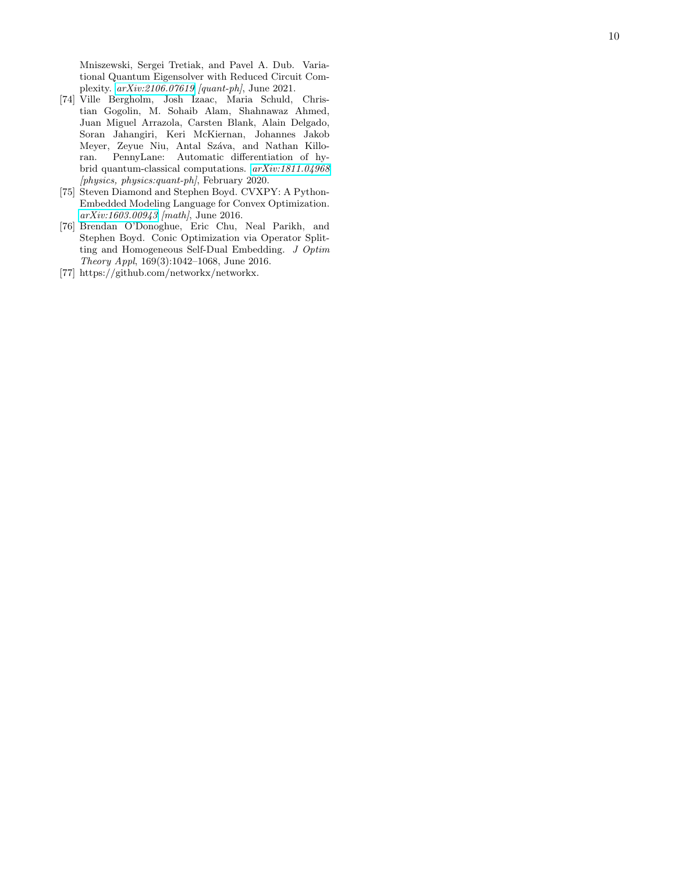Mniszewski, Sergei Tretiak, and Pavel A. Dub. Variational Quantum Eigensolver with Reduced Circuit Complexity. [arXiv:2106.07619](http://arxiv.org/abs/2106.07619) [quant-ph], June 2021.

- <span id="page-9-0"></span>[74] Ville Bergholm, Josh Izaac, Maria Schuld, Christian Gogolin, M. Sohaib Alam, Shahnawaz Ahmed, Juan Miguel Arrazola, Carsten Blank, Alain Delgado, Soran Jahangiri, Keri McKiernan, Johannes Jakob Meyer, Zeyue Niu, Antal Száva, and Nathan Killoran. PennyLane: Automatic differentiation of hybrid quantum-classical computations. [arXiv:1811.04968](http://arxiv.org/abs/1811.04968) [physics, physics:quant-ph], February 2020.
- <span id="page-9-1"></span>[75] Steven Diamond and Stephen Boyd. CVXPY: A Python-Embedded Modeling Language for Convex Optimization. [arXiv:1603.00943](http://arxiv.org/abs/1603.00943) [math], June 2016.
- <span id="page-9-2"></span>[76] Brendan O'Donoghue, Eric Chu, Neal Parikh, and Stephen Boyd. Conic Optimization via Operator Splitting and Homogeneous Self-Dual Embedding. J Optim Theory Appl, 169(3):1042–1068, June 2016.
- <span id="page-9-3"></span>[77] https://github.com/networkx/networkx.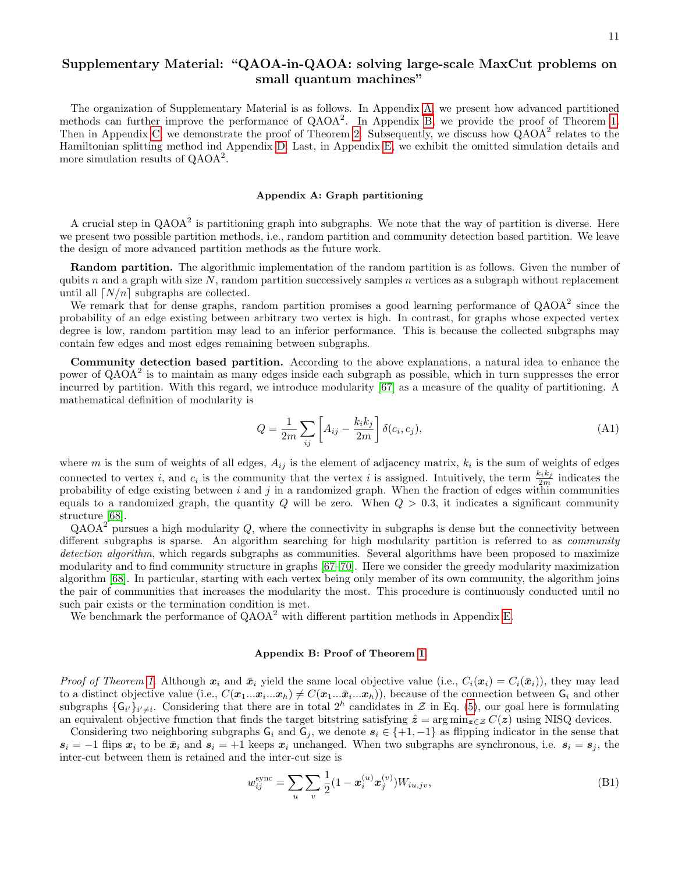# Supplementary Material: "QAOA-in-QAOA: solving large-scale MaxCut problems on small quantum machines"

The organization of Supplementary Material is as follows. In Appendix [A,](#page-10-1) we present how advanced partitioned methods can further improve the performance of  $QAOA^2$ . In Appendix [B,](#page-10-0) we provide the proof of Theorem [1.](#page-2-2) Then in Appendix [C,](#page-11-0) we demonstrate the proof of Theorem [2.](#page-3-1) Subsequently, we discuss how  $\dot{Q}AOA^2$  relates to the Hamiltonian splitting method ind Appendix [D.](#page-13-0) Last, in Appendix [E,](#page-14-0) we exhibit the omitted simulation details and more simulation results of QAOA<sup>2</sup>.

#### <span id="page-10-1"></span>Appendix A: Graph partitioning

A crucial step in  $QAOA<sup>2</sup>$  is partitioning graph into subgraphs. We note that the way of partition is diverse. Here we present two possible partition methods, i.e., random partition and community detection based partition. We leave the design of more advanced partition methods as the future work.

Random partition. The algorithmic implementation of the random partition is as follows. Given the number of qubits n and a graph with size N, random partition successively samples n vertices as a subgraph without replacement until all  $\lfloor N/n \rfloor$  subgraphs are collected.

We remark that for dense graphs, random partition promises a good learning performance of  $QAOA<sup>2</sup>$  since the probability of an edge existing between arbitrary two vertex is high. In contrast, for graphs whose expected vertex degree is low, random partition may lead to an inferior performance. This is because the collected subgraphs may contain few edges and most edges remaining between subgraphs.

Community detection based partition. According to the above explanations, a natural idea to enhance the power of QAOA<sup>2</sup> is to maintain as many edges inside each subgraph as possible, which in turn suppresses the error incurred by partition. With this regard, we introduce modularity [\[67\]](#page-8-17) as a measure of the quality of partitioning. A mathematical definition of modularity is

<span id="page-10-2"></span>
$$
Q = \frac{1}{2m} \sum_{ij} \left[ A_{ij} - \frac{k_i k_j}{2m} \right] \delta(c_i, c_j), \tag{A1}
$$

where m is the sum of weights of all edges,  $A_{ij}$  is the element of adjacency matrix,  $k_i$  is the sum of weights of edges connected to vertex *i*, and  $c_i$  is the community that the vertex *i* is assigned. Intuitively, the term  $\frac{k_i k_j}{2m}$  indicates the probability of edge existing between  $i$  and  $j$  in a randomized graph. When the fraction of edges within communities equals to a randomized graph, the quantity  $Q$  will be zero. When  $Q > 0.3$ , it indicates a significant community structure [\[68\]](#page-8-18).

 $QAOA^2$  pursues a high modularity Q, where the connectivity in subgraphs is dense but the connectivity between different subgraphs is sparse. An algorithm searching for high modularity partition is referred to as community detection algorithm, which regards subgraphs as communities. Several algorithms have been proposed to maximize modularity and to find community structure in graphs [\[67–](#page-8-17)[70\]](#page-8-19). Here we consider the greedy modularity maximization algorithm [\[68\]](#page-8-18). In particular, starting with each vertex being only member of its own community, the algorithm joins the pair of communities that increases the modularity the most. This procedure is continuously conducted until no such pair exists or the termination condition is met.

We benchmark the performance of  $QAOA<sup>2</sup>$  with different partition methods in Appendix [E.](#page-14-0)

## <span id="page-10-0"></span>Appendix B: Proof of Theorem [1](#page-2-2)

*Proof of Theorem [1.](#page-2-2)* Although  $x_i$  and  $\bar{x}_i$  yield the same local objective value (i.e.,  $C_i(x_i) = C_i(\bar{x}_i)$ ), they may lead to a distinct objective value (i.e.,  $C(\mathbf{x}_1...\mathbf{x}_i...\mathbf{x}_h) \neq C(\mathbf{x}_1...\mathbf{x}_i...\mathbf{x}_h)$ ), because of the connection between  $\mathsf{G}_i$  and other subgraphs  $\{G_{i'}\}_{i'\neq i}$ . Considering that there are in total  $2^h$  candidates in  $\mathcal{Z}$  in Eq. [\(5\)](#page-2-1), our goal here is formulating an equivalent objective function that finds the target bitstring satisfying  $\hat{z} = \arg \min_{z \in \mathcal{Z}} C(z)$  using NISQ devices.

Considering two neighboring subgraphs  $G_i$  and  $G_j$ , we denote  $s_i \in \{+1, -1\}$  as flipping indicator in the sense that  $s_i = -1$  flips  $x_i$  to be  $\bar{x}_i$  and  $s_i = +1$  keeps  $x_i$  unchanged. When two subgraphs are synchronous, i.e.  $s_i = s_j$ , the inter-cut between them is retained and the inter-cut size is

$$
w_{ij}^{\text{sync}} = \sum_{u} \sum_{v} \frac{1}{2} (1 - \boldsymbol{x}_i^{(u)} \boldsymbol{x}_j^{(v)}) W_{iu,jv},\tag{B1}
$$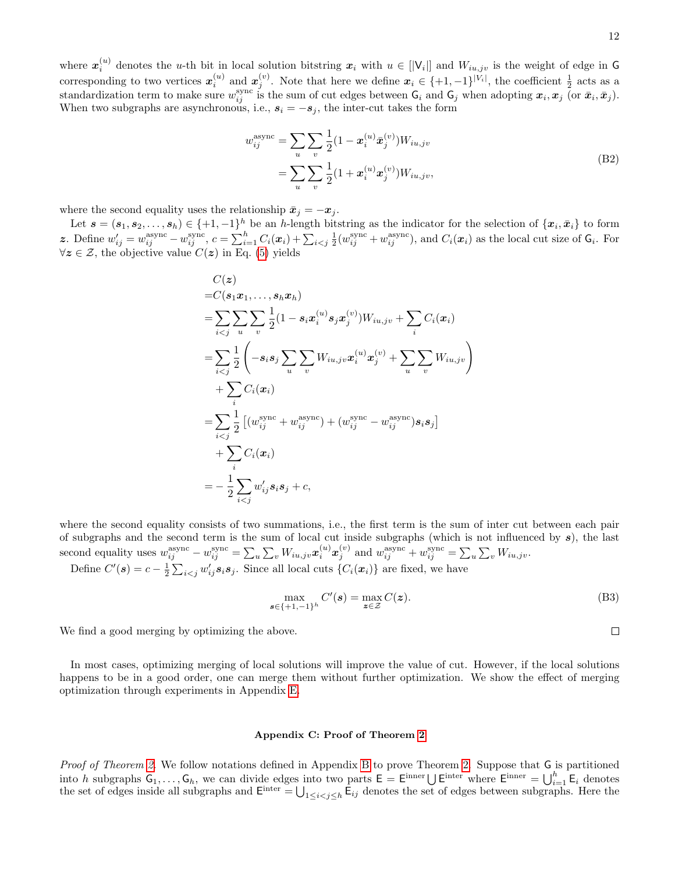where  $x_i^{(u)}$  denotes the u-th bit in local solution bitstring  $x_i$  with  $u \in [V_i]$  and  $W_{iu,jv}$  is the weight of edge in G corresponding to two vertices  $x_i^{(u)}$  and  $x_j^{(v)}$ . Note that here we define  $x_i \in \{+1, -1\}^{|V_i|}$ , the coefficient  $\frac{1}{2}$  acts as a standardization term to make sure  $w_{ij}^{\text{sync}}$  is the sum of cut edges between  $\mathsf{G}_i$  and  $\mathsf{G}_j$  when adopting  $\boldsymbol{x}_i, \boldsymbol{x}_j$  (or  $\bar{\boldsymbol{x}}_i, \bar{\boldsymbol{x}}_j$ ). When two subgraphs are asynchronous, i.e.,  $s_i = -s_j$ , the inter-cut takes the form

$$
w_{ij}^{\text{async}} = \sum_{u} \sum_{v} \frac{1}{2} (1 - \mathbf{x}_{i}^{(u)} \bar{\mathbf{x}}_{j}^{(v)}) W_{iu,jv}
$$
  
= 
$$
\sum_{u} \sum_{v} \frac{1}{2} (1 + \mathbf{x}_{i}^{(u)} \mathbf{x}_{j}^{(v)}) W_{iu,jv},
$$
 (B2)

where the second equality uses the relationship  $\bar{x}_j = -x_j$ .

Let  $\mathbf{s} = (\mathbf{s}_1, \mathbf{s}_2, \dots, \mathbf{s}_h) \in \{+1, -1\}^h$  be an h-length bitstring as the indicator for the selection of  $\{\mathbf{x}_i, \bar{\mathbf{x}}_i\}$  to form z. Define  $w'_{ij} = w_{ij}^{\text{async}} - w_{ij}^{\text{sync}}, c = \sum_{i=1}^{h} C_i(\boldsymbol{x}_i) + \sum_{i < j} \frac{1}{2} (w_{ij}^{\text{sync}} + w_{ij}^{\text{async}})$ , and  $C_i(\boldsymbol{x}_i)$  as the local cut size of  $\mathsf{G}_i$ . For  $\forall z \in \mathcal{Z}$ , the objective value  $C(z)$  in Eq. [\(5\)](#page-2-1) yields

$$
C(z)
$$
  
\n=  $C(\mathbf{s}_1 \mathbf{x}_1, ..., \mathbf{s}_h \mathbf{x}_h)$   
\n=  $\sum_{i < j} \sum_{u} \sum_{v} \frac{1}{2} (1 - \mathbf{s}_i \mathbf{x}_i^{(u)} \mathbf{s}_j \mathbf{x}_j^{(v)}) W_{iu,jv} + \sum_{i} C_i(\mathbf{x}_i)$   
\n=  $\sum_{i < j} \frac{1}{2} \left( -\mathbf{s}_i \mathbf{s}_j \sum_{u} \sum_{v} W_{iu,jv} \mathbf{x}_i^{(u)} \mathbf{x}_j^{(v)} + \sum_{u} \sum_{v} W_{iu,jv} \right) + \sum_{i} C_i(\mathbf{x}_i)$   
\n=  $\sum_{i < j} \frac{1}{2} \left[ (w_{ij}^{\text{sync}} + w_{ij}^{\text{async}}) + (w_{ij}^{\text{sync}} - w_{ij}^{\text{async}}) \mathbf{s}_i \mathbf{s}_j \right] + \sum_{i} C_i(\mathbf{x}_i)$   
\n=  $-\frac{1}{2} \sum_{i < j} w'_{ij} \mathbf{s}_i \mathbf{s}_j + c,$ 

where the second equality consists of two summations, i.e., the first term is the sum of inter cut between each pair of subgraphs and the second term is the sum of local cut inside subgraphs (which is not influenced by  $s$ ), the last second equality uses  $w_{ij}^{\text{async}} - w_{ij}^{\text{sync}} = \sum_{u} \sum_{v} W_{iu,jv} \boldsymbol{x}_i^{(u)} \boldsymbol{x}_j^{(v)}$  and  $w_{ij}^{\text{async}} + w_{ij}^{\text{sync}} = \sum_{u} \sum_{v} W_{iu,jv}$ . Define  $C'(s) = c - \frac{1}{2} \sum_{i < j} w'_{ij} s_i s_j$ . Since all local cuts  $\{C_i(x_i)\}\$ are fixed, we have

$$
\max_{\mathbf{s}\in\{+1,-1\}^h} C'(\mathbf{s}) = \max_{\mathbf{z}\in\mathcal{Z}} C(\mathbf{z}).
$$
\n(B3)

We find a good merging by optimizing the above.

In most cases, optimizing merging of local solutions will improve the value of cut. However, if the local solutions happens to be in a good order, one can merge them without further optimization. We show the effect of merging optimization through experiments in Appendix [E.](#page-14-0)

#### <span id="page-11-0"></span>Appendix C: Proof of Theorem [2](#page-3-1)

Proof of Theorem [2.](#page-3-1) We follow notations defined in Appendix [B](#page-10-0) to prove Theorem 2. Suppose that G is partitioned into h subgraphs  $G_1, \ldots, G_h$ , we can divide edges into two parts  $E = E^{\text{inner}} \bigcup E^{\text{inter}}$  where  $E^{\text{inner}} = \bigcup_{i=1}^h E_i$  denotes the set of edges inside all subgraphs and  $\mathsf{E}^{\text{inter}} = \bigcup_{1 \leq i < j \leq h} \mathsf{E}_{ij}$  denotes the set of edges between subgraphs. Here the

 $\Box$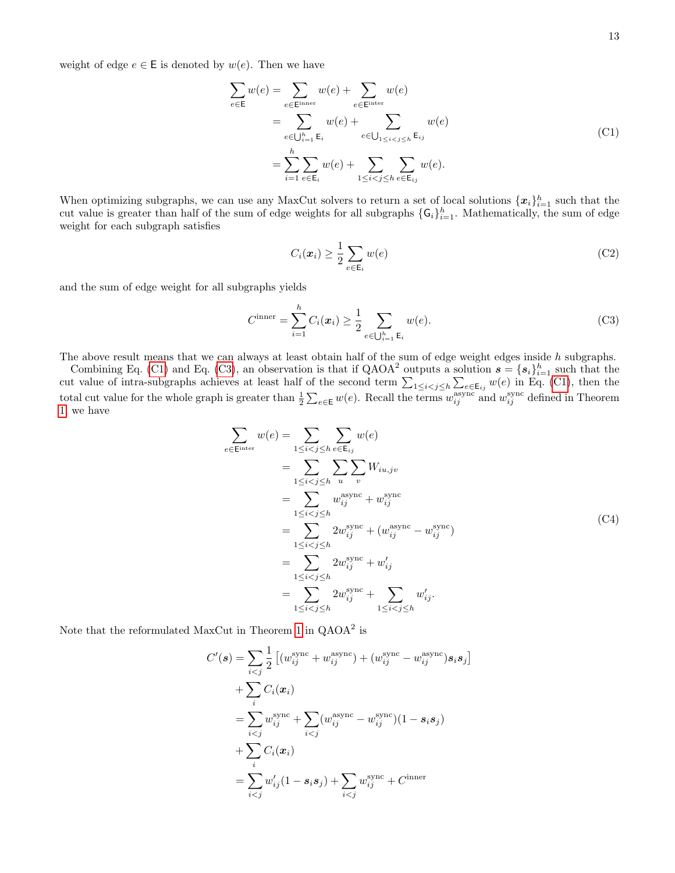weight of edge  $e \in \mathsf{E}$  is denoted by  $w(e)$ . Then we have

<span id="page-12-0"></span>
$$
\sum_{e \in E} w(e) = \sum_{e \in E^{\text{inner}}} w(e) + \sum_{e \in E^{\text{inter}}} w(e)
$$
\n
$$
= \sum_{e \in \bigcup_{i=1}^{h} E_i} w(e) + \sum_{e \in \bigcup_{1 \le i < j \le h} E_{ij}} w(e)
$$
\n
$$
= \sum_{i=1}^{h} \sum_{e \in E_i} w(e) + \sum_{1 \le i < j \le h} \sum_{e \in E_{ij}} w(e).
$$
\n(C1)

When optimizing subgraphs, we can use any MaxCut solvers to return a set of local solutions  $\{x_i\}_{i=1}^h$  such that the cut value is greater than half of the sum of edge weights for all subgraphs  $\{G_i\}_{i=1}^h$ . Mathematically, the sum of edge weight for each subgraph satisfies

$$
C_i(\boldsymbol{x}_i) \ge \frac{1}{2} \sum_{e \in \mathsf{E}_i} w(e) \tag{C2}
$$

and the sum of edge weight for all subgraphs yields

<span id="page-12-1"></span>
$$
C^{\text{inner}} = \sum_{i=1}^{h} C_i(\boldsymbol{x}_i) \ge \frac{1}{2} \sum_{e \in \bigcup_{i=1}^{h} \mathsf{E}_i} w(e).
$$
 (C3)

The above result means that we can always at least obtain half of the sum of edge weight edges inside h subgraphs.

Combining Eq. [\(C1\)](#page-12-0) and Eq. [\(C3\)](#page-12-1), an observation is that if QAOA<sup>2</sup> outputs a solution  $s = \{s_i\}_{i=1}^h$  such that the cut value of intra-subgraphs achieves at least half of the second term  $\sum_{1 \leq i < j \leq h} \sum_{e \in \mathsf{E}_{ij}} w(e)$  in Eq. [\(C1\)](#page-12-0), then the total cut value for the whole graph is greater than  $\frac{1}{2}\sum_{e\in \mathsf{E}}w(e)$ . Recall the terms  $w_{ij}^{\text{async}}$  and  $w_{ij}^{\text{sync}}$  defined in Theorem [1,](#page-2-2) we have

<span id="page-12-2"></span>
$$
\sum_{e \in \text{Einter}} w(e) = \sum_{1 \le i < j \le h} \sum_{e \in \text{E}_{ij}} w(e)
$$
\n
$$
= \sum_{1 \le i < j \le h} \sum_{u} \sum_{v} W_{iu,jv}
$$
\n
$$
= \sum_{1 \le i < j \le h} w_{ij}^{\text{async}} + w_{ij}^{\text{sync}}
$$
\n
$$
= \sum_{1 \le i < j \le h} 2w_{ij}^{\text{sync}} + (w_{ij}^{\text{async}} - w_{ij}^{\text{sync}})
$$
\n
$$
= \sum_{1 \le i < j \le h} 2w_{ij}^{\text{sync}} + w_{ij}'
$$
\n
$$
= \sum_{1 \le i < j \le h} 2w_{ij}^{\text{sync}} + \sum_{1 \le i < j \le h} w_{ij}'.
$$
\n(C4)

Note that the reformulated MaxCut in Theorem [1](#page-2-2) in  $QAOA<sup>2</sup>$  is

$$
C'(s) = \sum_{i < j} \frac{1}{2} \left[ (w_{ij}^{\text{sync}} + w_{ij}^{\text{async}}) + (w_{ij}^{\text{sync}} - w_{ij}^{\text{async}}) s_i s_j \right]
$$
\n
$$
+ \sum_{i} C_i(x_i)
$$
\n
$$
= \sum_{i < j} w_{ij}^{\text{sync}} + \sum_{i < j} (w_{ij}^{\text{async}} - w_{ij}^{\text{sync}}) (1 - s_i s_j)
$$
\n
$$
+ \sum_{i} C_i(x_i)
$$
\n
$$
= \sum_{i < j} w'_{ij} (1 - s_i s_j) + \sum_{i < j} w_{ij}^{\text{sync}} + C^{\text{inner}}
$$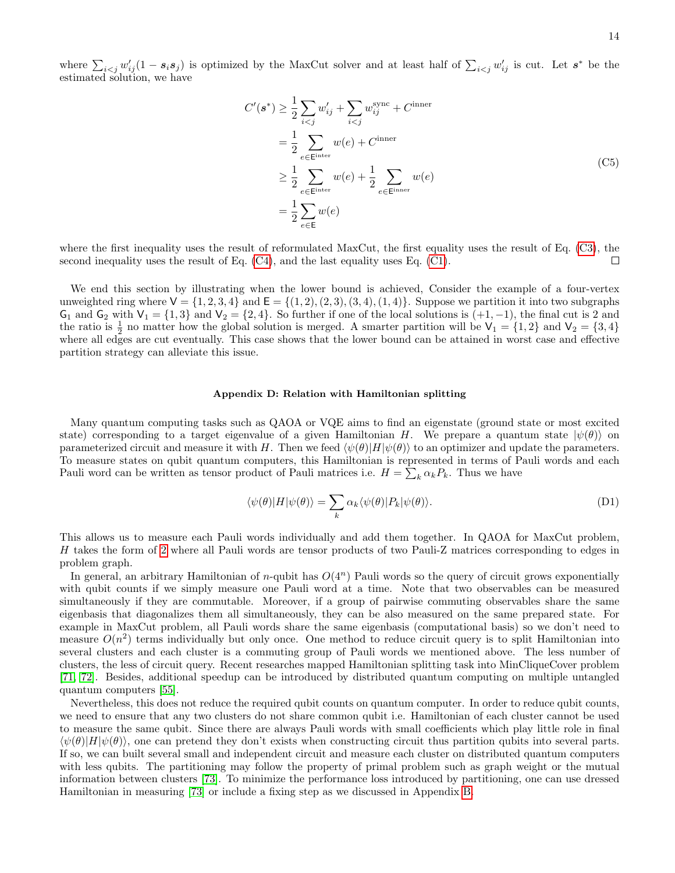where  $\sum_{i\leq j} w'_{ij} (1-s_i s_j)$  is optimized by the MaxCut solver and at least half of  $\sum_{i\leq j} w'_{ij}$  is cut. Let  $s^*$  be the estimated solution, we have

$$
C'(s^*) \ge \frac{1}{2} \sum_{i < j} w'_{ij} + \sum_{i < j} w^{sync}_{ij} + C^{inner}
$$
\n
$$
= \frac{1}{2} \sum_{e \in E^{inter}} w(e) + C^{inner}
$$
\n
$$
\ge \frac{1}{2} \sum_{e \in E^{inter}} w(e) + \frac{1}{2} \sum_{e \in E^{inner}} w(e)
$$
\n
$$
= \frac{1}{2} \sum_{e \in E} w(e)
$$
\n
$$
(C5)
$$

where the first inequality uses the result of reformulated MaxCut, the first equality uses the result of Eq. [\(C3\)](#page-12-1), the second inequality uses the result of Eq. [\(C4\)](#page-12-2), and the last equality uses Eq. [\(C1\)](#page-12-0). П

We end this section by illustrating when the lower bound is achieved, Consider the example of a four-vertex unweighted ring where  $V = \{1, 2, 3, 4\}$  and  $E = \{(1, 2), (2, 3), (3, 4), (1, 4)\}$ . Suppose we partition it into two subgraphs  $G_1$  and  $G_2$  with  $V_1 = \{1,3\}$  and  $V_2 = \{2,4\}$ . So further if one of the local solutions is  $(+1,-1)$ , the final cut is 2 and the ratio is  $\frac{1}{2}$  no matter how the global solution is merged. A smarter partition will be  $V_1 = \{1, 2\}$  and  $V_2 = \{3, 4\}$ where all edges are cut eventually. This case shows that the lower bound can be attained in worst case and effective partition strategy can alleviate this issue.

## <span id="page-13-0"></span>Appendix D: Relation with Hamiltonian splitting

Many quantum computing tasks such as QAOA or VQE aims to find an eigenstate (ground state or most excited state) corresponding to a target eigenvalue of a given Hamiltonian H. We prepare a quantum state  $|\psi(\theta)\rangle$  on parameterized circuit and measure it with H. Then we feed  $\langle \psi(\theta)|H|\psi(\theta)\rangle$  to an optimizer and update the parameters. To measure states on qubit quantum computers, this Hamiltonian is represented in terms of Pauli words and each Pauli word can be written as tensor product of Pauli matrices i.e.  $H = \sum_k \alpha_k P_k$ . Thus we have

$$
\langle \psi(\theta)|H|\psi(\theta)\rangle = \sum_{k} \alpha_k \langle \psi(\theta)|P_k|\psi(\theta)\rangle.
$$
 (D1)

This allows us to measure each Pauli words individually and add them together. In QAOA for MaxCut problem, H takes the form of [2](#page-1-1) where all Pauli words are tensor products of two Pauli-Z matrices corresponding to edges in problem graph.

In general, an arbitrary Hamiltonian of n-qubit has  $O(4^n)$  Pauli words so the query of circuit grows exponentially with qubit counts if we simply measure one Pauli word at a time. Note that two observables can be measured simultaneously if they are commutable. Moreover, if a group of pairwise commuting observables share the same eigenbasis that diagonalizes them all simultaneously, they can be also measured on the same prepared state. For example in MaxCut problem, all Pauli words share the same eigenbasis (computational basis) so we don't need to measure  $O(n^2)$  terms individually but only once. One method to reduce circuit query is to split Hamiltonian into several clusters and each cluster is a commuting group of Pauli words we mentioned above. The less number of clusters, the less of circuit query. Recent researches mapped Hamiltonian splitting task into MinCliqueCover problem [\[71,](#page-8-20) [72\]](#page-8-21). Besides, additional speedup can be introduced by distributed quantum computing on multiple untangled quantum computers [\[55\]](#page-8-9).

Nevertheless, this does not reduce the required qubit counts on quantum computer. In order to reduce qubit counts, we need to ensure that any two clusters do not share common qubit i.e. Hamiltonian of each cluster cannot be used to measure the same qubit. Since there are always Pauli words with small coefficients which play little role in final  $\langle \psi(\theta)|H|\psi(\theta)\rangle$ , one can pretend they don't exists when constructing circuit thus partition qubits into several parts. If so, we can built several small and independent circuit and measure each cluster on distributed quantum computers with less qubits. The partitioning may follow the property of primal problem such as graph weight or the mutual information between clusters [\[73\]](#page-8-22). To minimize the performance loss introduced by partitioning, one can use dressed Hamiltonian in measuring [\[73\]](#page-8-22) or include a fixing step as we discussed in Appendix [B.](#page-10-0)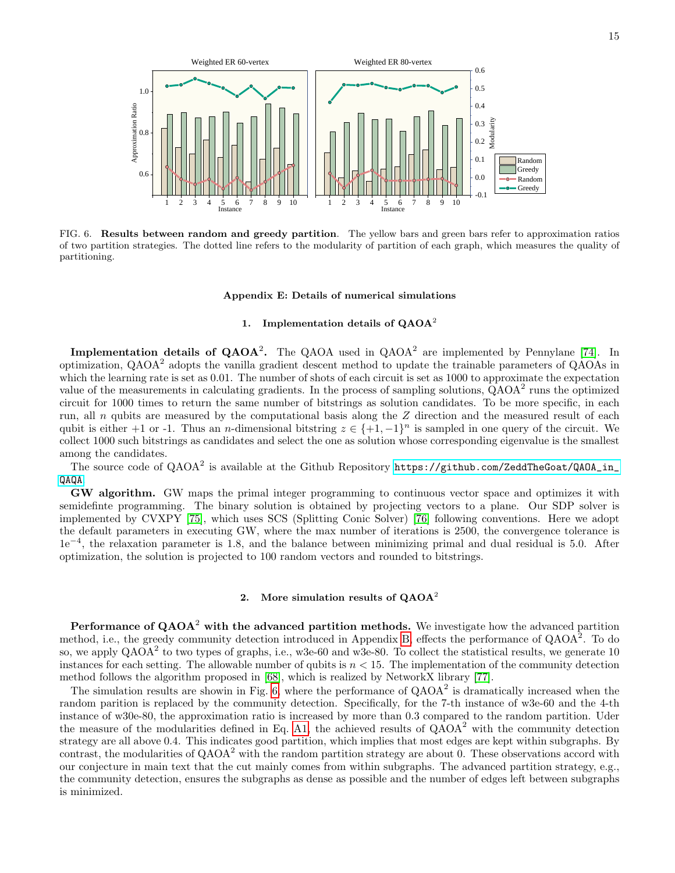

<span id="page-14-1"></span>FIG. 6. Results between random and greedy partition. The yellow bars and green bars refer to approximation ratios of two partition strategies. The dotted line refers to the modularity of partition of each graph, which measures the quality of partitioning.

#### <span id="page-14-0"></span>Appendix E: Details of numerical simulations

# 1. Implementation details of  $QAOA<sup>2</sup>$

**Implementation details of QAOA<sup>2</sup>.** The QAOA used in  $QAOA<sup>2</sup>$  are implemented by Pennylane [\[74\]](#page-9-0). In optimization, QAOA<sup>2</sup> adopts the vanilla gradient descent method to update the trainable parameters of QAOAs in which the learning rate is set as 0.01. The number of shots of each circuit is set as 1000 to approximate the expectation value of the measurements in calculating gradients. In the process of sampling solutions,  $\overline{QAOA}^2$  runs the optimized circuit for 1000 times to return the same number of bitstrings as solution candidates. To be more specific, in each run, all n qubits are measured by the computational basis along the Z direction and the measured result of each qubit is either +1 or -1. Thus an *n*-dimensional bitstring  $z \in \{+1, -1\}^n$  is sampled in one query of the circuit. We collect 1000 such bitstrings as candidates and select the one as solution whose corresponding eigenvalue is the smallest among the candidates.

The source code of  $\mathsf{QAOA}^2$  is available at the Github Repository <code>[https://github.com/ZeddTheGoat/QAOA\\_in\\_](https://github.com/ZeddTheGoat/QAOA_in_QAQA)</code> [QAQA](https://github.com/ZeddTheGoat/QAOA_in_QAQA).

GW algorithm. GW maps the primal integer programming to continuous vector space and optimizes it with semidefinte programming. The binary solution is obtained by projecting vectors to a plane. Our SDP solver is implemented by CVXPY [\[75\]](#page-9-1), which uses SCS (Splitting Conic Solver) [\[76\]](#page-9-2) following conventions. Here we adopt the default parameters in executing GW, where the max number of iterations is 2500, the convergence tolerance is 1e<sup>−</sup><sup>4</sup> , the relaxation parameter is 1.8, and the balance between minimizing primal and dual residual is 5.0. After optimization, the solution is projected to 100 random vectors and rounded to bitstrings.

## 2. More simulation results of  $QAOA<sup>2</sup>$

**Performance of QAOA<sup>2</sup> with the advanced partition methods.** We investigate how the advanced partition method, i.e., the greedy community detection introduced in Appendix [B,](#page-10-0) effects the performance of QAOA<sup>2</sup>. To do so, we apply  $QAOA<sup>2</sup>$  to two types of graphs, i.e., w3e-60 and w3e-80. To collect the statistical results, we generate 10 instances for each setting. The allowable number of qubits is  $n < 15$ . The implementation of the community detection method follows the algorithm proposed in [\[68\]](#page-8-18), which is realized by NetworkX library [\[77\]](#page-9-3).

The simulation results are showin in Fig. [6,](#page-14-1) where the performance of  $QAOA<sup>2</sup>$  is dramatically increased when the random parition is replaced by the community detection. Specifically, for the 7-th instance of w3e-60 and the 4-th instance of w30e-80, the approximation ratio is increased by more than 0.3 compared to the random partition. Uder the measure of the modularities defined in Eq. [A1,](#page-10-2) the achieved results of  $QAOA<sup>2</sup>$  with the community detection strategy are all above 0.4. This indicates good partition, which implies that most edges are kept within subgraphs. By contrast, the modularities of  $QAOA<sup>2</sup>$  with the random partition strategy are about 0. These observations accord with our conjecture in main text that the cut mainly comes from within subgraphs. The advanced partition strategy, e.g., the community detection, ensures the subgraphs as dense as possible and the number of edges left between subgraphs is minimized.